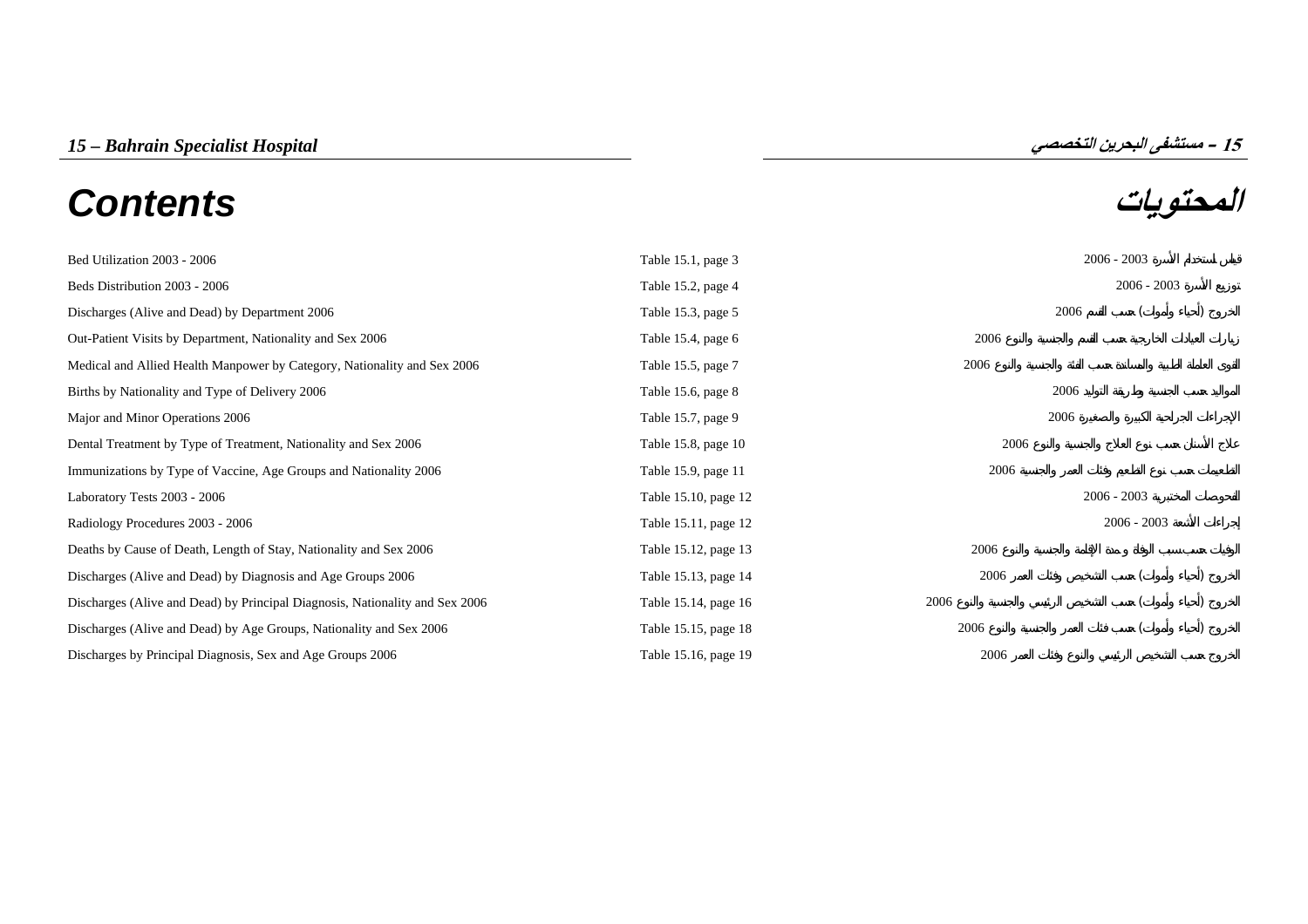# **المحتويات** *Contents*



| Bed Utilization 2003 - 2006                                                  | Table 15.1, page 3   |      | $2006 - 2003$ |  |  |
|------------------------------------------------------------------------------|----------------------|------|---------------|--|--|
| Beds Distribution 2003 - 2006                                                | Table 15.2, page 4   |      | $2006 - 2003$ |  |  |
| Discharges (Alive and Dead) by Department 2006                               | Table 15.3, page 5   | 2006 |               |  |  |
| Out-Patient Visits by Department, Nationality and Sex 2006                   | Table 15.4, page 6   | 2006 |               |  |  |
| Medical and Allied Health Manpower by Category, Nationality and Sex 2006     | Table 15.5, page 7   | 2006 |               |  |  |
| Births by Nationality and Type of Delivery 2006                              | Table 15.6, page 8   | 2006 |               |  |  |
| Major and Minor Operations 2006                                              | Table 15.7, page 9   | 2006 |               |  |  |
| Dental Treatment by Type of Treatment, Nationality and Sex 2006              | Table 15.8, page 10  | 2006 |               |  |  |
| Immunizations by Type of Vaccine, Age Groups and Nationality 2006            | Table 15.9, page 11  | 2006 |               |  |  |
| Laboratory Tests 2003 - 2006                                                 | Table 15.10, page 12 |      | $2006 - 2003$ |  |  |
| Radiology Procedures 2003 - 2006                                             | Table 15.11, page 12 |      | $2006 - 2003$ |  |  |
| Deaths by Cause of Death, Length of Stay, Nationality and Sex 2006           | Table 15.12, page 13 | 2006 |               |  |  |
| Discharges (Alive and Dead) by Diagnosis and Age Groups 2006                 | Table 15.13, page 14 | 2006 |               |  |  |
| Discharges (Alive and Dead) by Principal Diagnosis, Nationality and Sex 2006 | Table 15.14, page 16 | 2006 |               |  |  |
| Discharges (Alive and Dead) by Age Groups, Nationality and Sex 2006          | Table 15.15, page 18 | 2006 |               |  |  |
| Discharges by Principal Diagnosis, Sex and Age Groups 2006                   | Table 15.16, page 19 | 2006 |               |  |  |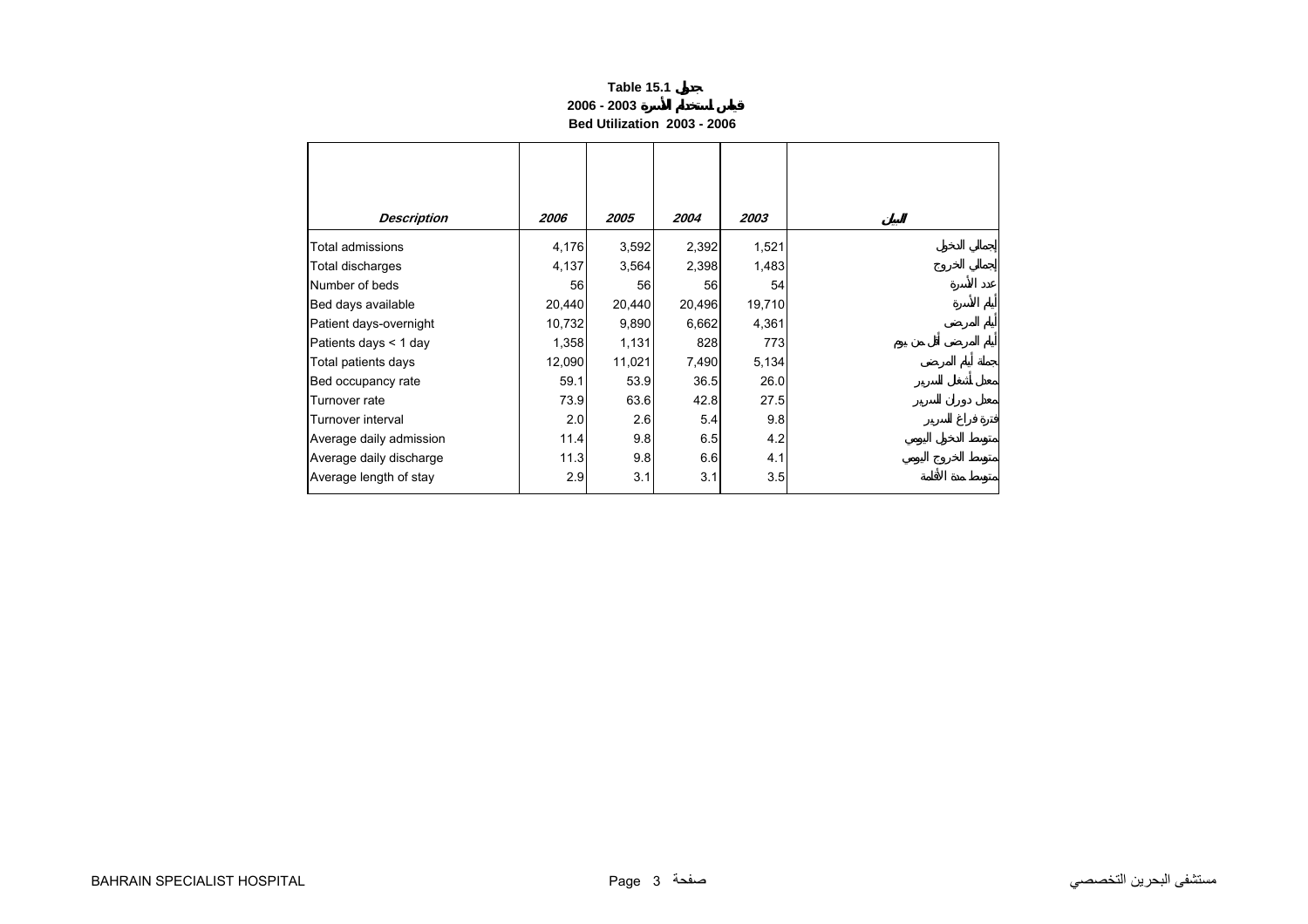## **Table 15.1 2006 - 2003Bed Utilization 2003 - 2006**

<span id="page-1-0"></span>

| <b>Description</b>      | 2006   | 2005   | 2004   | 2003   |
|-------------------------|--------|--------|--------|--------|
| Total admissions        | 4,176  | 3,592  | 2,392  | 1,521  |
| Total discharges        | 4,137  | 3,564  | 2,398  | 1,483  |
| Number of beds          | 56     | 56     | 56     | 54     |
| Bed days available      | 20,440 | 20,440 | 20,496 | 19,710 |
| Patient days-overnight  | 10,732 | 9,890  | 6,662  | 4,361  |
| Patients days < 1 day   | 1,358  | 1,131  | 828    | 773    |
| Total patients days     | 12,090 | 11,021 | 7,490  | 5,134  |
| Bed occupancy rate      | 59.1   | 53.9   | 36.5   | 26.0   |
| Turnover rate           | 73.9   | 63.6   | 42.8   | 27.5   |
| Turnover interval       | 2.0    | 2.6    | 5.4    | 9.8    |
| Average daily admission | 11.4   | 9.8    | 6.5    | 4.2    |
| Average daily discharge | 11.3   | 9.8    | 6.6    | 4.1    |
| Average length of stay  | 2.9    | 3.1    | 3.1    | 3.5    |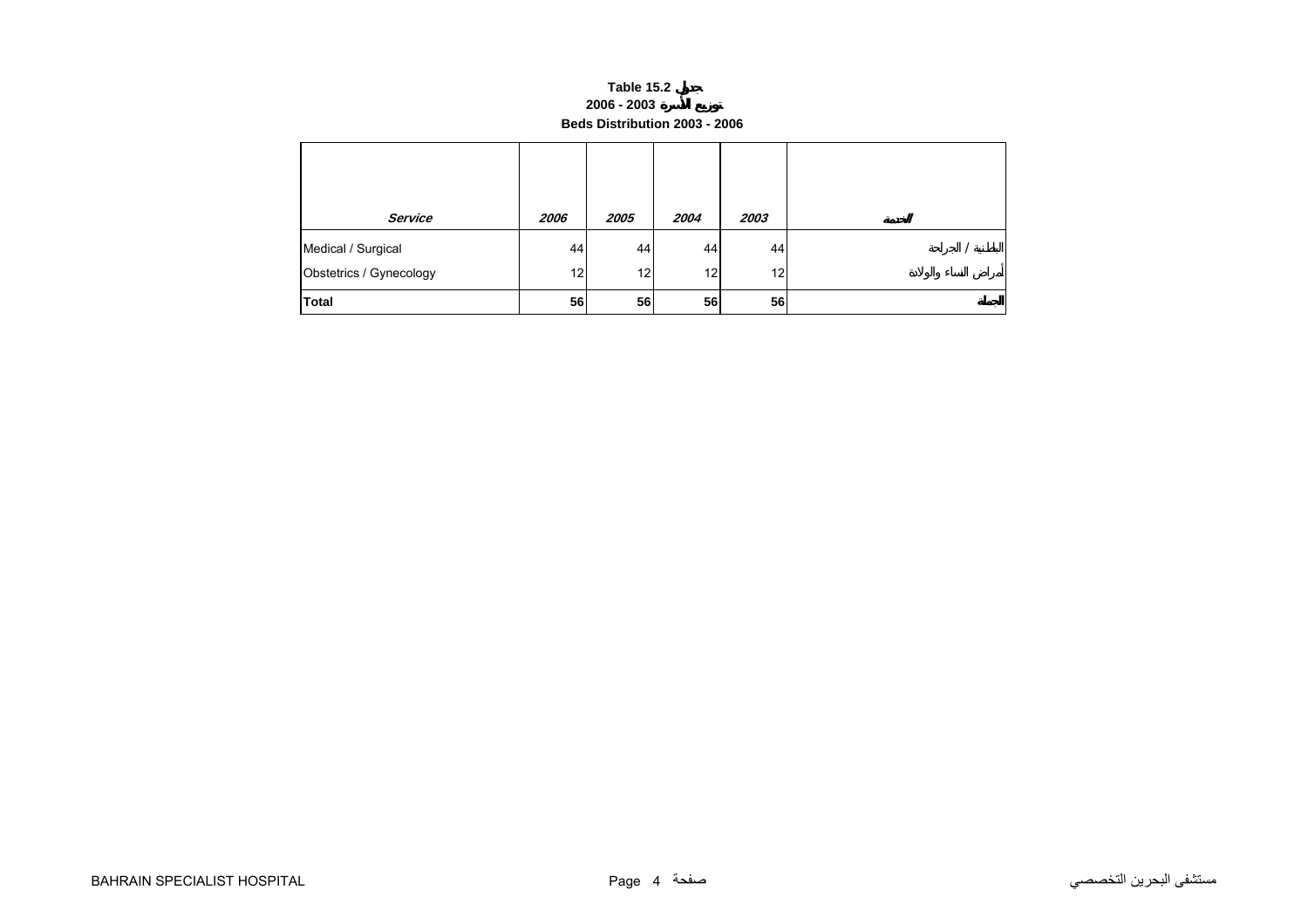#### **Table 15.2 2006 - 2003 Beds Distribution 2003 - 2006**

<span id="page-2-0"></span>

| Service                                       | 2006     | 2005     | 2004                  | 2003                  |  |
|-----------------------------------------------|----------|----------|-----------------------|-----------------------|--|
| Medical / Surgical<br>Obstetrics / Gynecology | 44<br>12 | 44<br>12 | 44<br>12 <sub>1</sub> | 44<br>12 <sub>1</sub> |  |
| <b>Total</b>                                  | 56       | 56       | 56                    | 56                    |  |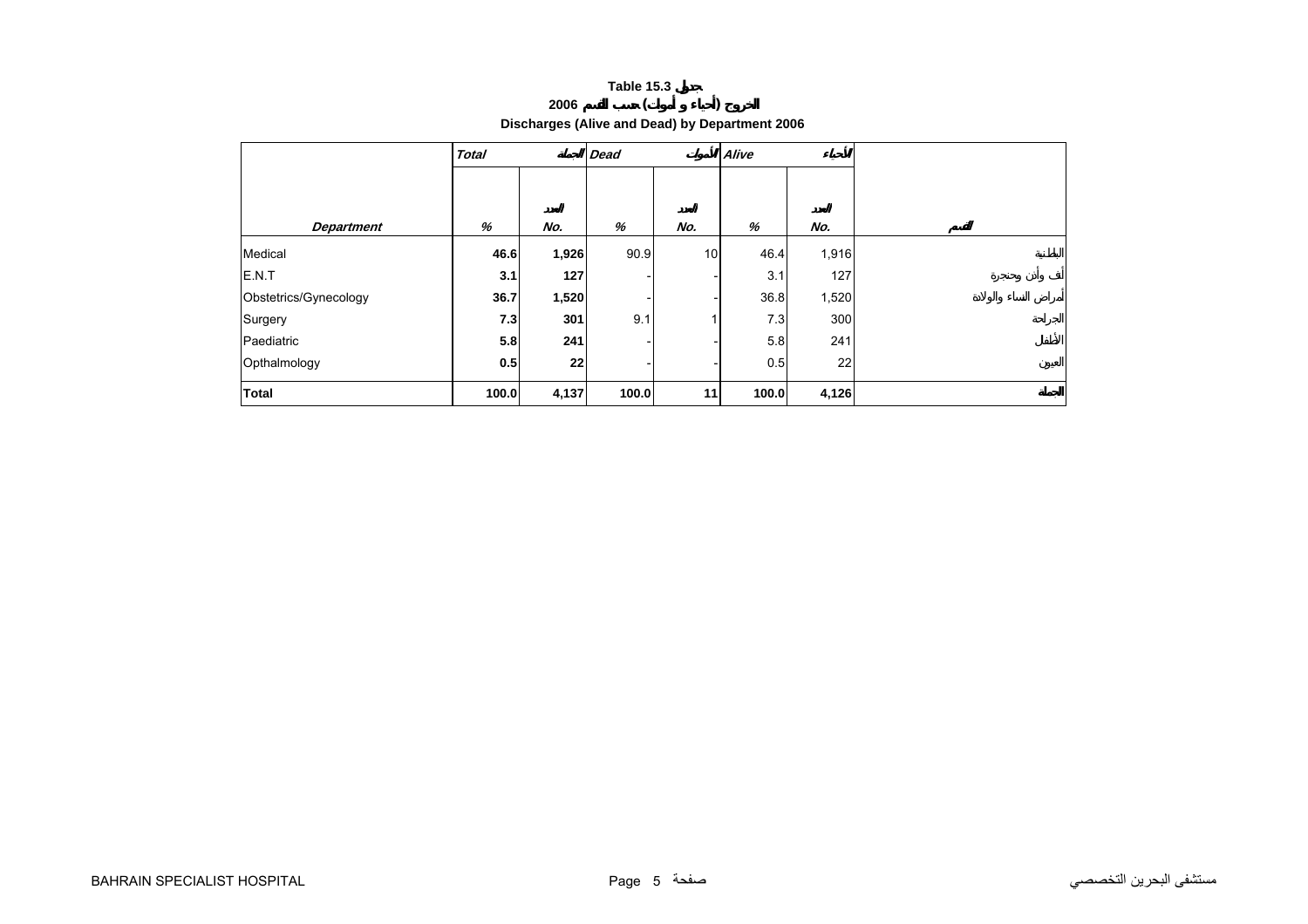# **<sup>2006</sup> ( ) Discharges (Alive and Dead) by Department 2006**

<span id="page-3-0"></span>

|                       | <b>Total</b> |       | <b>Dead</b> |              | Alive |       |
|-----------------------|--------------|-------|-------------|--------------|-------|-------|
|                       |              |       |             |              |       |       |
|                       |              |       |             |              |       |       |
| <b>Department</b>     | %            | No.   | %           | No.          | %     | No.   |
| Medical               | 46.6         | 1,926 | 90.9        | 10           | 46.4  | 1,916 |
| E.N.T                 | 3.1          | 127   |             |              | 3.1   | 127   |
| Obstetrics/Gynecology | 36.7         | 1,520 |             |              | 36.8  | 1,520 |
| Surgery               | 7.3          | 301   | 9.1         | $\mathbf{1}$ | 7.3   | 300   |
| Paediatric            | 5.8          | 241   |             |              | 5.8   | 241   |
| Opthalmology          | 0.5          | 22    |             |              | 0.5   | 22    |
| <b>Total</b>          | 100.0        | 4,137 | 100.0       | 11           | 100.0 | 4,126 |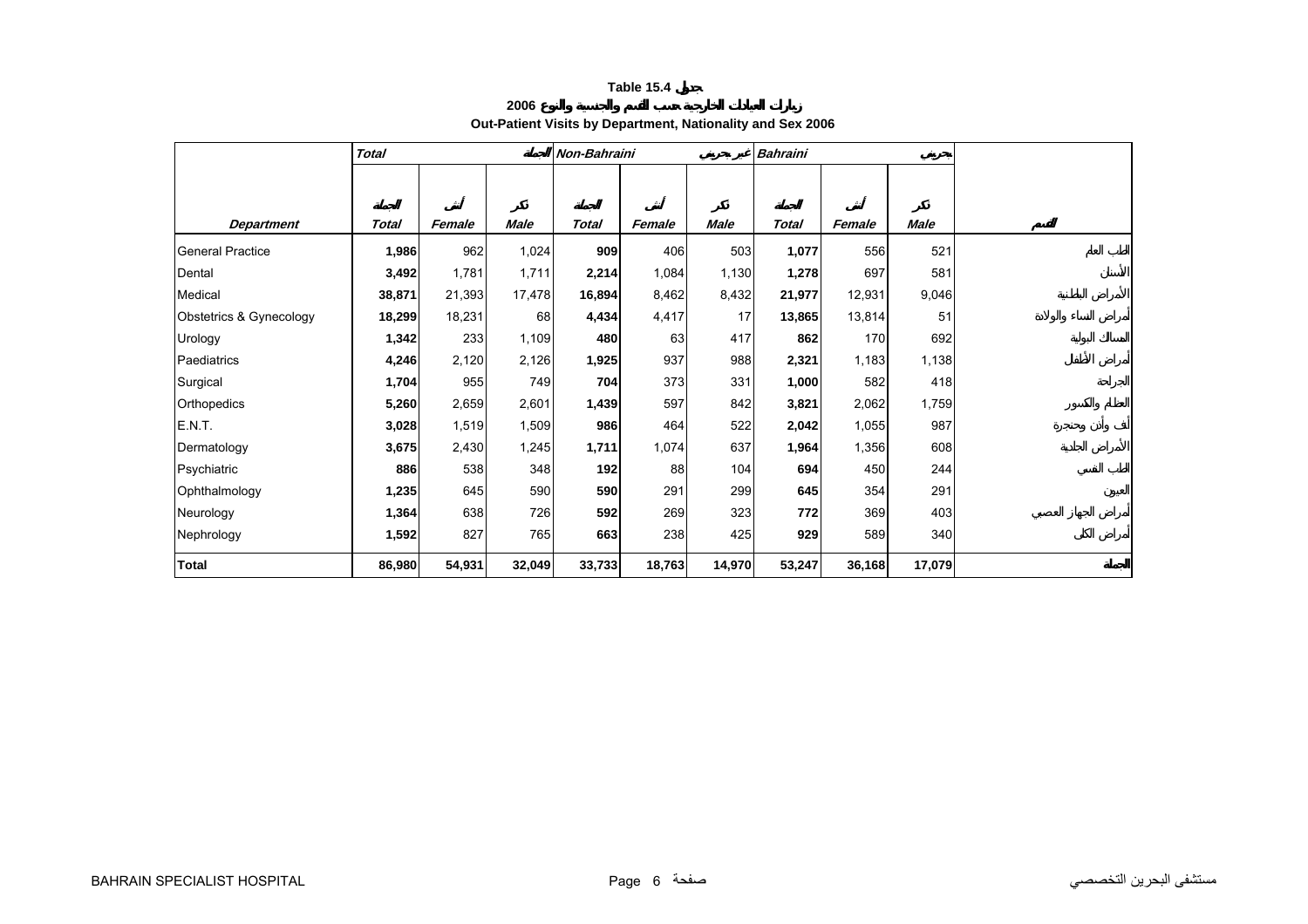| Out-Patient Visits by Department, Nationality and Sex 2006 |  |  |  |
|------------------------------------------------------------|--|--|--|
|------------------------------------------------------------|--|--|--|

<span id="page-4-0"></span>

|                         | <b>Total</b> |        |             | Non-Bahraini |        |             | <b>Bahraini</b> |        |             |
|-------------------------|--------------|--------|-------------|--------------|--------|-------------|-----------------|--------|-------------|
|                         |              |        |             |              |        |             |                 |        |             |
|                         |              |        |             |              |        |             |                 |        |             |
| <b>Department</b>       | Total        | Female | <b>Male</b> | <b>Total</b> | Female | <b>Male</b> | <b>Total</b>    | Female | <b>Male</b> |
| <b>General Practice</b> | 1,986        | 962    | 1,024       | 909          | 406    | 503         | 1,077           | 556    | 521         |
| Dental                  | 3,492        | 1,781  | 1,711       | 2,214        | 1,084  | 1,130       | 1,278           | 697    | 581         |
| Medical                 | 38,871       | 21,393 | 17,478      | 16,894       | 8,462  | 8,432       | 21,977          | 12,931 | 9,046       |
| Obstetrics & Gynecology | 18,299       | 18,231 | 68          | 4,434        | 4,417  | 17          | 13,865          | 13,814 | 51          |
| Urology                 | 1,342        | 233    | 1,109       | 480          | 63     | 417         | 862             | 170    | 692         |
| Paediatrics             | 4,246        | 2,120  | 2,126       | 1,925        | 937    | 988         | 2,321           | 1,183  | 1,138       |
| Surgical                | 1,704        | 955    | 749         | 704          | 373    | 331         | 1,000           | 582    | 418         |
| Orthopedics             | 5,260        | 2,659  | 2,601       | 1,439        | 597    | 842         | 3,821           | 2,062  | 1,759       |
| E.N.T.                  | 3,028        | 1,519  | 1,509       | 986          | 464    | 522         | 2,042           | 1,055  | 987         |
| Dermatology             | 3,675        | 2,430  | 1,245       | 1,711        | 1,074  | 637         | 1,964           | 1,356  | 608         |
| Psychiatric             | 886          | 538    | 348         | 192          | 88     | 104         | 694             | 450    | 244         |
| Ophthalmology           | 1,235        | 645    | 590         | 590          | 291    | 299         | 645             | 354    | 291         |
| Neurology               | 1,364        | 638    | 726         | 592          | 269    | 323         | 772             | 369    | 403         |
| Nephrology              | 1,592        | 827    | 765         | 663          | 238    | 425         | 929             | 589    | 340         |
| <b>Total</b>            | 86,980       | 54,931 | 32,049      | 33,733       | 18,763 | 14,970      | 53,247          | 36,168 | 17,079      |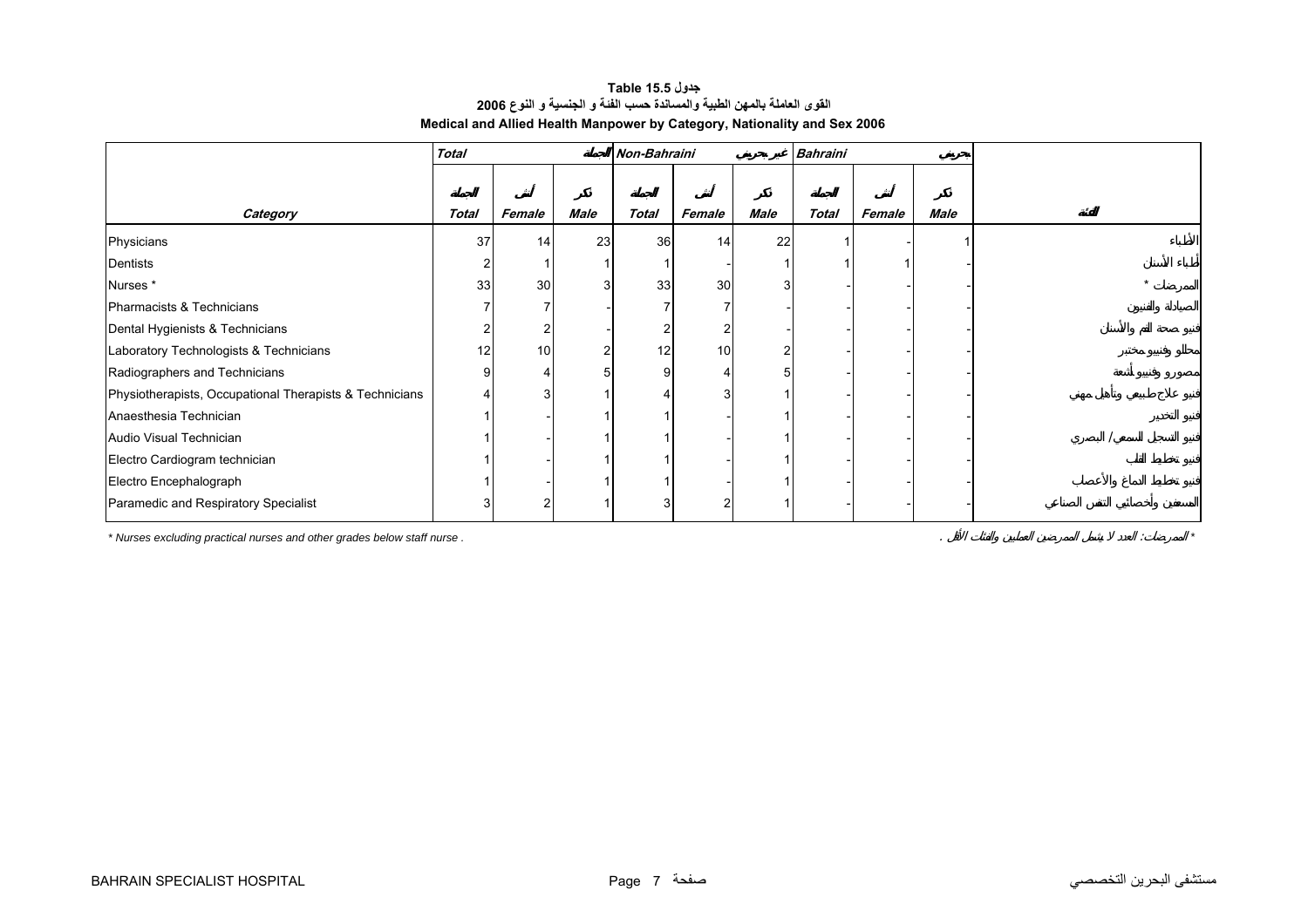# **جدول 15.5 Table القوى العاملة بالمهن الطبية والمساندة حسب الفئة <sup>و</sup> الجنسية <sup>و</sup> النوع <sup>2006</sup> Medical and Allied Health Manpower by Category, Nationality and Sex 2006**

<span id="page-5-0"></span>

|                                                                         | <b>Total</b> |        |      | Non-Bahraini |        |      | <b>Bahraini</b> |        |      |  |
|-------------------------------------------------------------------------|--------------|--------|------|--------------|--------|------|-----------------|--------|------|--|
|                                                                         |              |        |      |              |        |      |                 |        |      |  |
| Category                                                                | <b>Total</b> | Female | Male | <b>Total</b> | Female | Male | <b>Total</b>    | Female | Male |  |
| Physicians                                                              | 37           | 14     | 23   | 36           | 14     | 22   |                 |        |      |  |
| Dentists                                                                |              |        |      |              |        |      |                 |        |      |  |
| Nurses*                                                                 | 33           | 30     |      | 33           | 30     | 3    |                 |        |      |  |
| Pharmacists & Technicians                                               |              |        |      |              |        |      |                 |        |      |  |
| Dental Hygienists & Technicians                                         |              |        |      |              |        |      |                 |        |      |  |
| Laboratory Technologists & Technicians                                  | 12           | 10     |      | 12           | 10     |      |                 |        |      |  |
| Radiographers and Technicians                                           |              |        |      |              |        |      |                 |        |      |  |
| Physiotherapists, Occupational Therapists & Technicians                 |              |        |      |              |        |      |                 |        |      |  |
| Anaesthesia Technician                                                  |              |        |      |              |        |      |                 |        |      |  |
| Audio Visual Technician                                                 |              |        |      |              |        |      |                 |        |      |  |
| Electro Cardiogram technician                                           |              |        |      |              |        |      |                 |        |      |  |
| Electro Encephalograph                                                  |              |        |      |              |        |      |                 |        |      |  |
| Paramedic and Respiratory Specialist                                    |              |        |      | 3            | 2      |      |                 |        |      |  |
| * Nurses excluding practical nurses and other grades below staff nurse. |              |        |      |              |        |      |                 |        |      |  |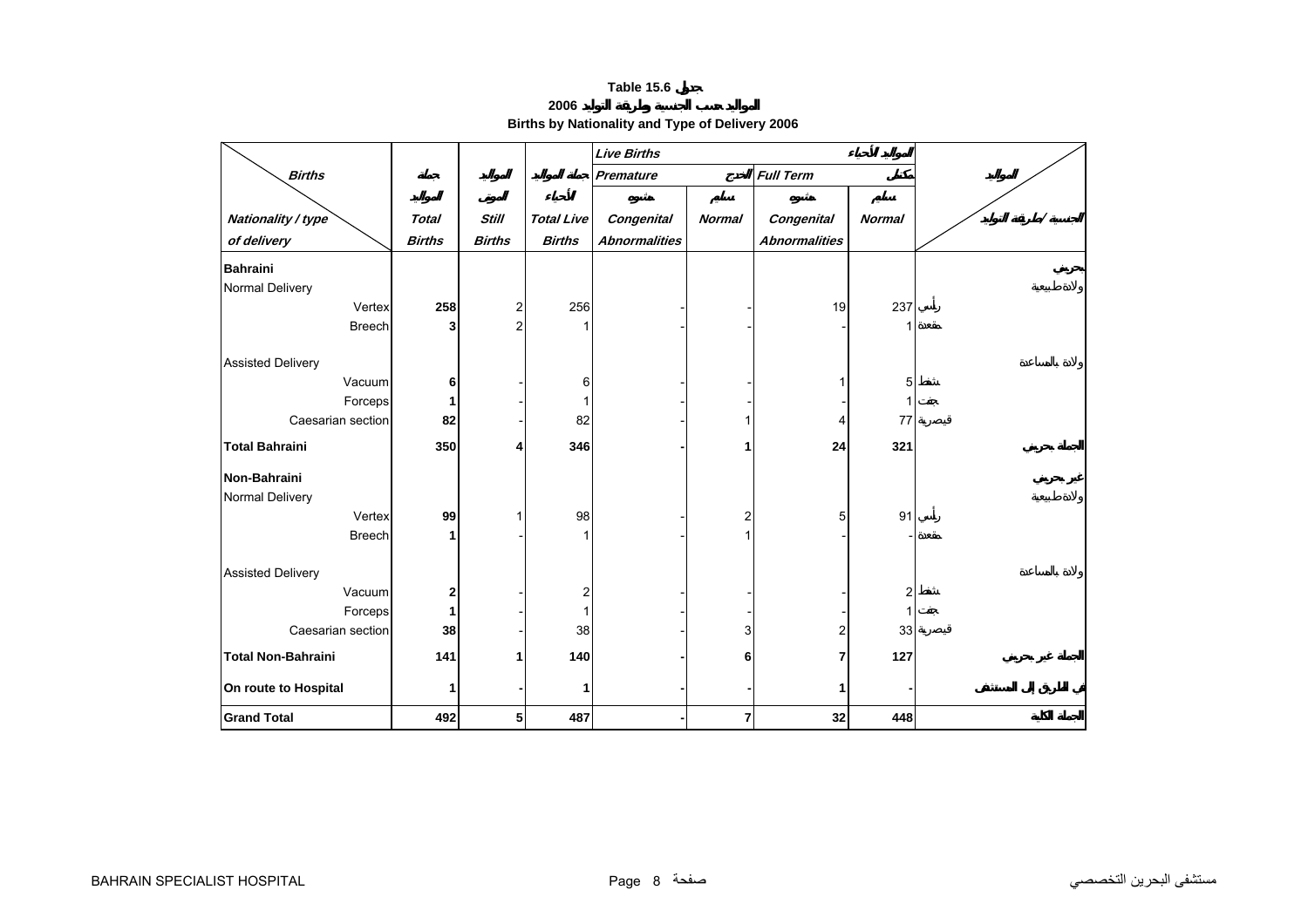**Births by Nationality and Type of Delivery 2006** 

<span id="page-6-0"></span>

|                           |               |                |                   | <b>Live Births</b>   |               |                             |                |  |
|---------------------------|---------------|----------------|-------------------|----------------------|---------------|-----------------------------|----------------|--|
| <b>Births</b>             |               |                |                   | Premature            |               | <b>Full Term</b>            |                |  |
|                           |               |                |                   |                      |               |                             |                |  |
| Nationality / type        | <b>Total</b>  | <b>Still</b>   | <b>Total Live</b> | Congenital           | <b>Normal</b> | Congenital<br><b>Normal</b> |                |  |
| of delivery               | <b>Births</b> | <b>Births</b>  | <b>Births</b>     | <b>Abnormalities</b> |               | <b>Abnormalities</b>        |                |  |
| <b>Bahraini</b>           |               |                |                   |                      |               |                             |                |  |
| Normal Delivery           |               |                |                   |                      |               |                             |                |  |
| Vertex                    | 258           | $\overline{c}$ | 256               |                      |               | 19                          | 237            |  |
| <b>Breech</b>             | 3             | $\overline{2}$ | 1                 |                      |               |                             |                |  |
|                           |               |                |                   |                      |               |                             |                |  |
| <b>Assisted Delivery</b>  |               |                |                   |                      |               |                             |                |  |
| Vacuum                    | 6             |                | 6                 |                      |               |                             | 5              |  |
| Forceps                   | 1             |                |                   |                      |               |                             |                |  |
| Caesarian section         | 82            |                | 82                |                      |               |                             | 77             |  |
| <b>Total Bahraini</b>     | 350           | Δ              | 346               |                      |               | 24                          | 321            |  |
| Non-Bahraini              |               |                |                   |                      |               |                             |                |  |
| Normal Delivery           |               |                |                   |                      |               |                             |                |  |
| Vertex                    | 99            |                | 98                |                      | 2             | 5                           | 91             |  |
| <b>Breech</b>             | 1             |                |                   |                      |               |                             |                |  |
| <b>Assisted Delivery</b>  |               |                |                   |                      |               |                             |                |  |
| Vacuum                    | 2             |                | 2                 |                      |               |                             | $\overline{2}$ |  |
| Forceps                   | 1             |                |                   |                      |               |                             |                |  |
| Caesarian section         | 38            |                | 38                |                      | 3             | 2                           | 33             |  |
| <b>Total Non-Bahraini</b> | 141           |                | 140               |                      | 6             | 7                           | 127            |  |
| On route to Hospital      | 1             |                | 1                 |                      |               |                             |                |  |
| <b>Grand Total</b>        | 492           | 5              | 487               |                      | 7             | 32                          | 448            |  |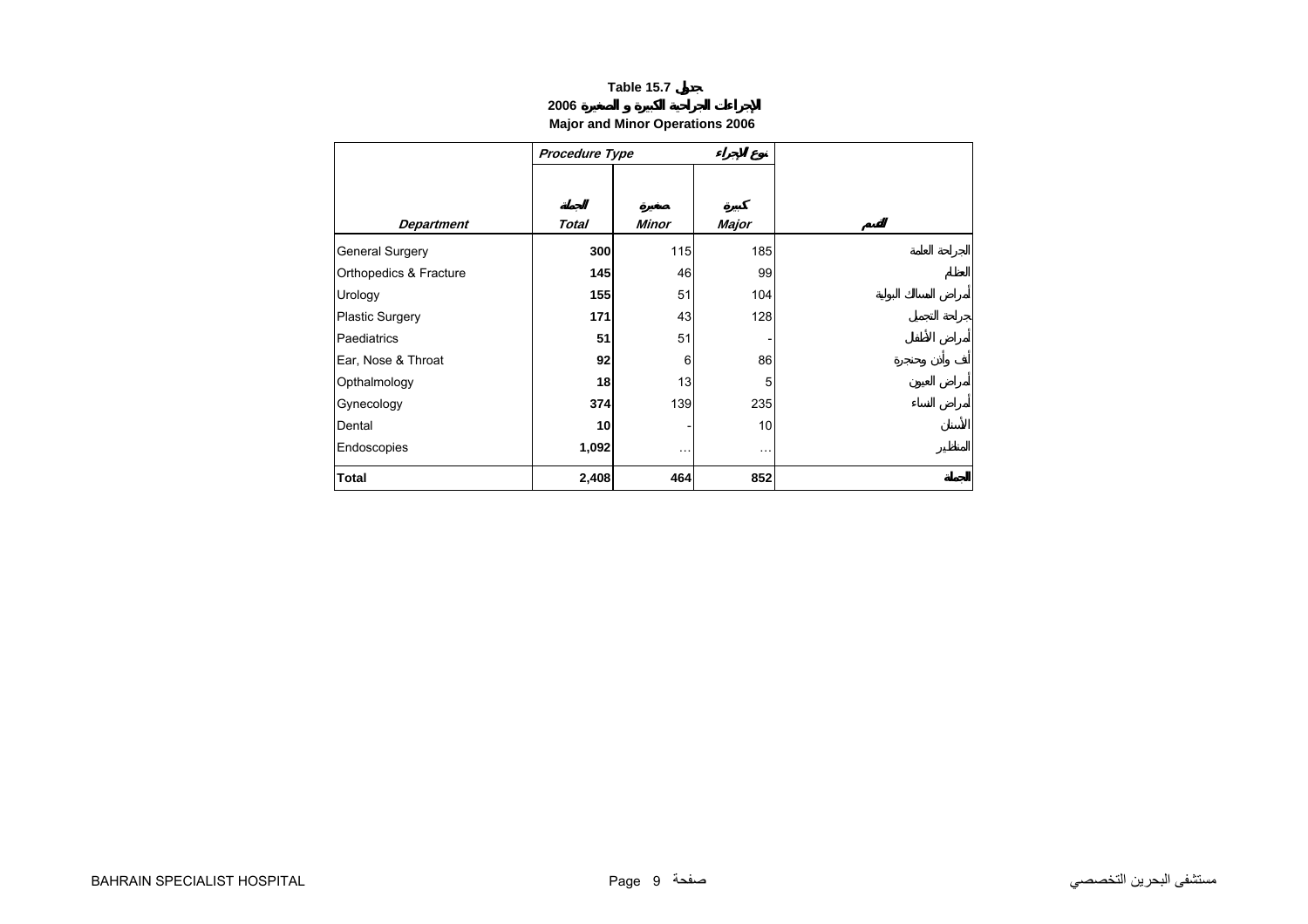# **2006**

# **Major and Minor Operations 2006**

<span id="page-7-0"></span>

|                        | Procedure Type |                      |          |
|------------------------|----------------|----------------------|----------|
|                        |                |                      |          |
| <b>Department</b>      | <b>Total</b>   | <b>Minor</b>         | Major    |
| General Surgery        | 300            | 115                  | 185      |
| Orthopedics & Fracture | 145            | 46                   | 99       |
| Urology                | 155            | 51                   | 104      |
| <b>Plastic Surgery</b> | 171            | 43                   | 128      |
| Paediatrics            | 51             | 51                   |          |
| Ear, Nose & Throat     | 92             | 6                    | 86       |
| Opthalmology           | 18             | 13                   | 5        |
| Gynecology             | 374            | 139                  | 235      |
| Dental                 | 10             |                      | 10       |
| Endoscopies            | 1,092          | $\sim$ $\sim$ $\sim$ | $\ldots$ |
| <b>Total</b>           | 2,408          | 464                  | 852      |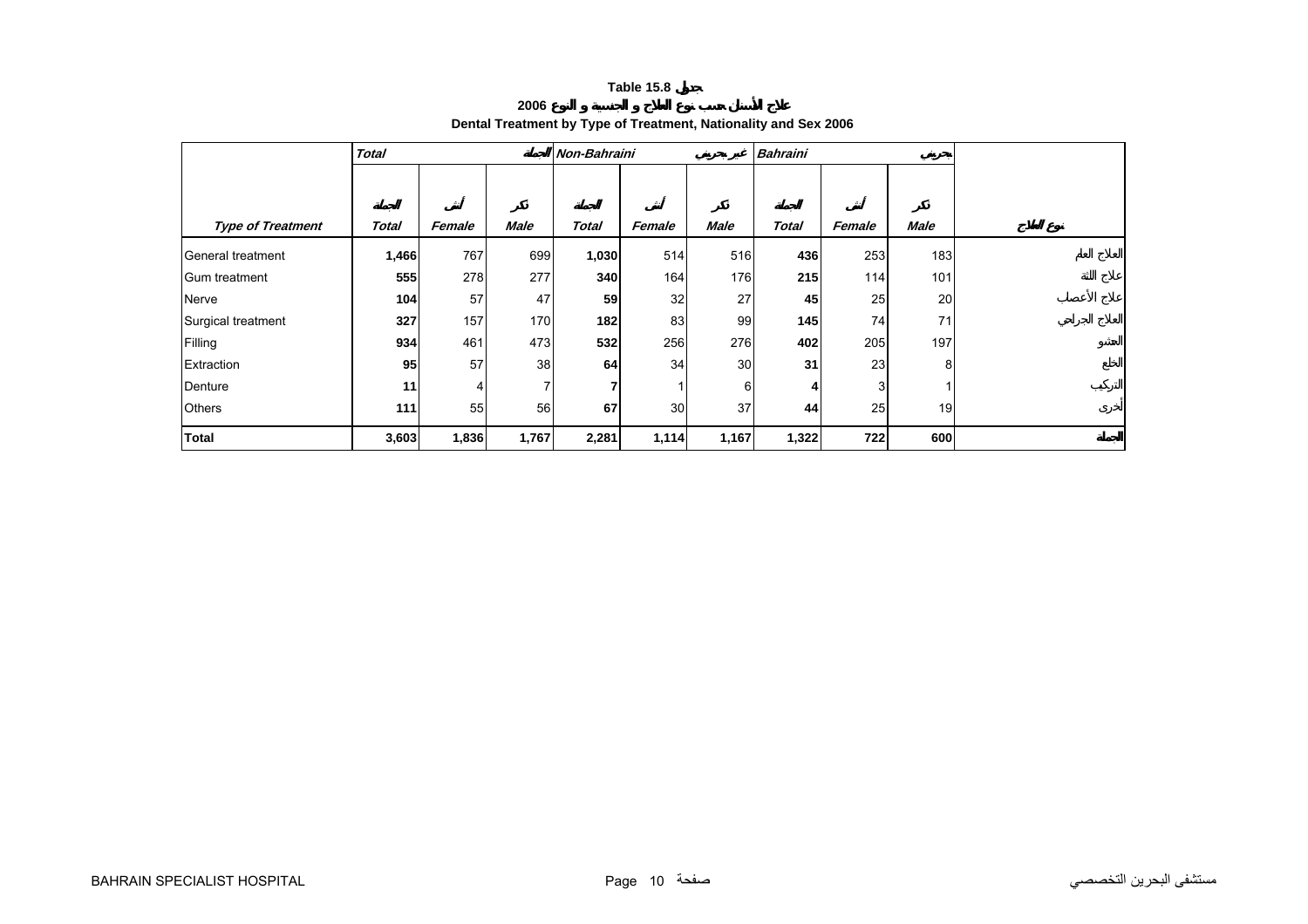**2006**

# **Dental Treatment by Type of Treatment, Nationality and Sex 2006**

<span id="page-8-0"></span>

|                          | <b>Total</b> |        |             | Non-Bahraini |        |       | <b>Bahraini</b> |        |             |  |
|--------------------------|--------------|--------|-------------|--------------|--------|-------|-----------------|--------|-------------|--|
|                          |              |        |             |              |        |       |                 |        |             |  |
|                          |              |        |             |              |        |       |                 |        |             |  |
| <b>Type of Treatment</b> | <b>Total</b> | Female | <b>Male</b> | <b>Total</b> | Female | Male  | <b>Total</b>    | Female | <b>Male</b> |  |
| General treatment        | 1,466        | 767    | 699         | 1,030        | 514    | 516   | 436             | 253    | 183         |  |
| Gum treatment            | 555          | 278    | 277         | 340          | 164    | 176   | 215             | 114    | 101         |  |
| Nerve                    | 104          | 57     | 47          | 59           | 32     | 27    | 45              | 25     | 20          |  |
| Surgical treatment       | 327          | 157    | 170         | 182          | 83     | 99    | 145             | 74     | 71          |  |
| Filling                  | 934          | 461    | 473         | 532          | 256    | 276   | 402             | 205    | 197         |  |
| Extraction               | 95           | 57     | 38          | 64           | 34     | 30    | 31              | 23     | 8           |  |
| Denture                  | 11           | 4      | 7           | 7            |        | 6     | 4               | 3      |             |  |
| <b>Others</b>            | 111          | 55     | 56          | 67           | 30     | 37    | 44              | 25     | 19          |  |
| <b>Total</b>             | 3,603        | 1,836  | 1,767       | 2,281        | 1,114  | 1,167 | 1,322           | 722    | 600         |  |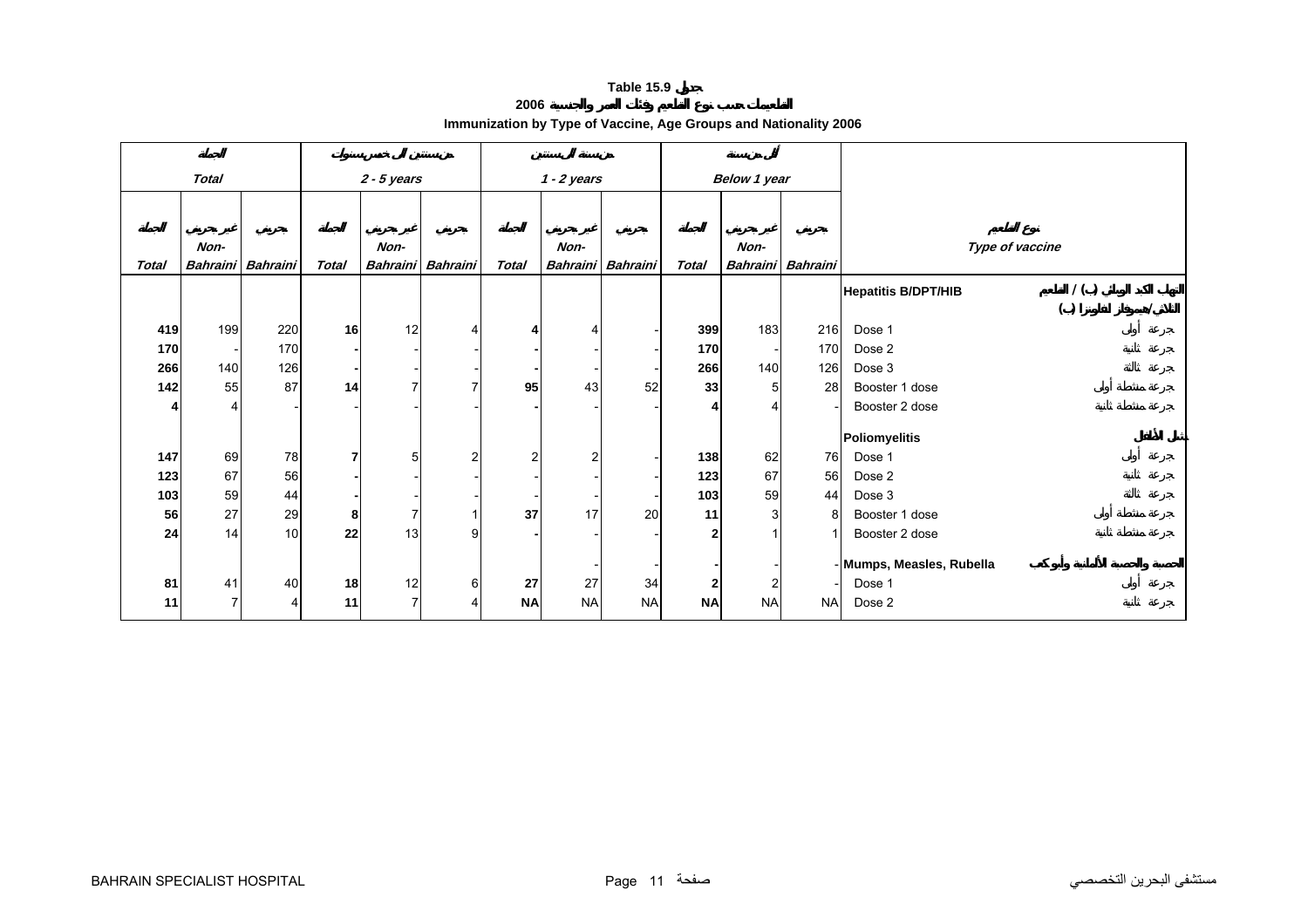**2006**

|  | Immunization by Type of Vaccine, Age Groups and Nationality 2006 |
|--|------------------------------------------------------------------|
|  |                                                                  |

<span id="page-9-0"></span>

|              | <b>Total</b>    |                 | $2 - 5$ years |      |                   |                | $1 - 2$ years |                          | <b>Below 1 year</b> |           |                 |                            |                 |  |
|--------------|-----------------|-----------------|---------------|------|-------------------|----------------|---------------|--------------------------|---------------------|-----------|-----------------|----------------------------|-----------------|--|
|              |                 |                 |               |      |                   |                |               |                          |                     |           |                 |                            |                 |  |
|              |                 |                 |               |      |                   |                |               |                          |                     |           |                 |                            |                 |  |
|              |                 |                 |               |      |                   |                |               |                          |                     |           |                 |                            |                 |  |
|              | Non-            |                 |               | Non- |                   |                | Non-          |                          |                     | Non-      |                 |                            | Type of vaccine |  |
| <b>Total</b> | <b>Bahraini</b> | <b>Bahraini</b> | <b>Total</b>  |      | Bahraini Bahraini | <b>Total</b>   |               | <b>Bahraini</b> Bahraini | <b>Total</b>        | Bahraini  | <b>Bahraini</b> |                            |                 |  |
|              |                 |                 |               |      |                   |                |               |                          |                     |           |                 | <b>Hepatitis B/DPT/HIB</b> | 1()             |  |
|              |                 |                 |               |      |                   |                |               |                          |                     |           |                 |                            | ( )             |  |
| 419          | 199             | 220             | 16            | 12   | 4                 | 4              | 4             |                          | 399                 | 183       | 216             | Dose 1                     |                 |  |
| 170          |                 | 170             |               |      |                   |                |               |                          | 170                 |           | 170             | Dose 2                     |                 |  |
| 266          | 140             | 126             |               |      |                   |                |               |                          | 266                 | 140       | 126             | Dose 3                     |                 |  |
| 142          | 55              | 87              | 14            |      |                   | 95             | 43            | 52                       | 33                  | 5         | 28              | Booster 1 dose             |                 |  |
|              | 4               |                 |               |      |                   |                |               |                          |                     |           |                 | Booster 2 dose             |                 |  |
|              |                 |                 |               |      |                   |                |               |                          |                     |           |                 |                            |                 |  |
|              |                 |                 |               |      |                   |                |               |                          |                     |           |                 | Poliomyelitis              |                 |  |
| 147          | 69              | 78              | 7             | 5    | $\overline{2}$    | $\overline{2}$ |               |                          | 138                 | 62        | 76              | Dose 1                     |                 |  |
| 123          | 67              | 56              |               |      |                   |                |               |                          | 123                 | 67        | 56              | Dose 2                     |                 |  |
| 103          | 59              | 44              |               |      |                   |                |               |                          | 103                 | 59        | 44              | Dose 3                     |                 |  |
| 56           | 27              | 29              | 8             | 7    |                   | 37             | 17            | 20                       | 11                  | 3         | 8               | Booster 1 dose             |                 |  |
| 24           | 14              | 10              | 22            | 13   | 9                 |                |               |                          | 2                   |           |                 | Booster 2 dose             |                 |  |
|              |                 |                 |               |      |                   |                |               |                          |                     |           |                 | - Mumps, Measles, Rubella  |                 |  |
| 81           | 41              | 40              | 18            | 12   | 6                 | 27             | 27            | 34                       | $\mathbf{2}$        |           |                 | Dose 1                     |                 |  |
|              | $\overline{7}$  |                 |               | 7    |                   |                |               |                          |                     | 2         |                 |                            |                 |  |
| 11           |                 | 4               | 11            |      |                   | <b>NA</b>      | <b>NA</b>     | <b>NA</b>                | <b>NA</b>           | <b>NA</b> | <b>NA</b>       | Dose 2                     |                 |  |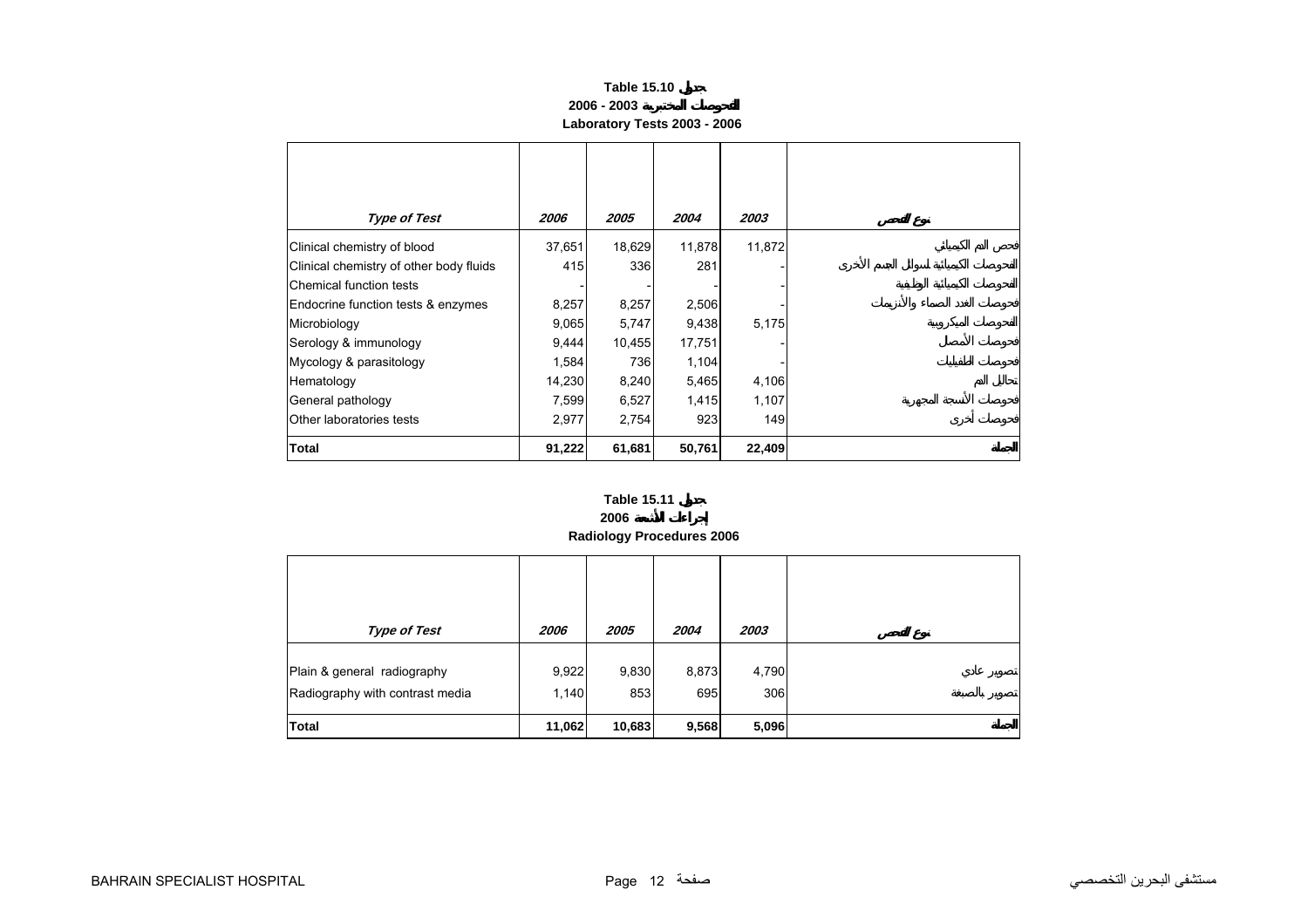## **Table 15.10 2006 - 2003Laboratory Tests 2003 - 2006**

<span id="page-10-0"></span>

| <b>Type of Test</b>                     | 2006   | 2005   | 2004   | 2003   |
|-----------------------------------------|--------|--------|--------|--------|
| Clinical chemistry of blood             | 37,651 | 18,629 | 11,878 | 11,872 |
| Clinical chemistry of other body fluids | 415    | 336    | 281    |        |
| <b>IChemical function tests</b>         |        |        |        |        |
| Endocrine function tests & enzymes      | 8,257  | 8,257  | 2,506  |        |
| Microbiology                            | 9,065  | 5,747  | 9,438  | 5,175  |
| Serology & immunology                   | 9,444  | 10,455 | 17,751 |        |
| Mycology & parasitology                 | 1,584  | 736    | 1,104  |        |
| Hematology                              | 14,230 | 8,240  | 5,465  | 4,106  |
| General pathology                       | 7,599  | 6,527  | 1,415  | 1,107  |
| Other laboratories tests                | 2,977  | 2,754  | 923    | 149    |
| Total                                   | 91,222 | 61,681 | 50,761 | 22,409 |

#### **2006 Radiology Procedures 2006 Table 15.11**

| <b>Type of Test</b>                                            | 2006           | 2005         | 2004         | 2003         |  |
|----------------------------------------------------------------|----------------|--------------|--------------|--------------|--|
| Plain & general radiography<br>Radiography with contrast media | 9,922<br>1,140 | 9,830<br>853 | 8,873<br>695 | 4,790<br>306 |  |
| <b>Total</b>                                                   | 11,062         | 10,683       | 9,568        | 5,096        |  |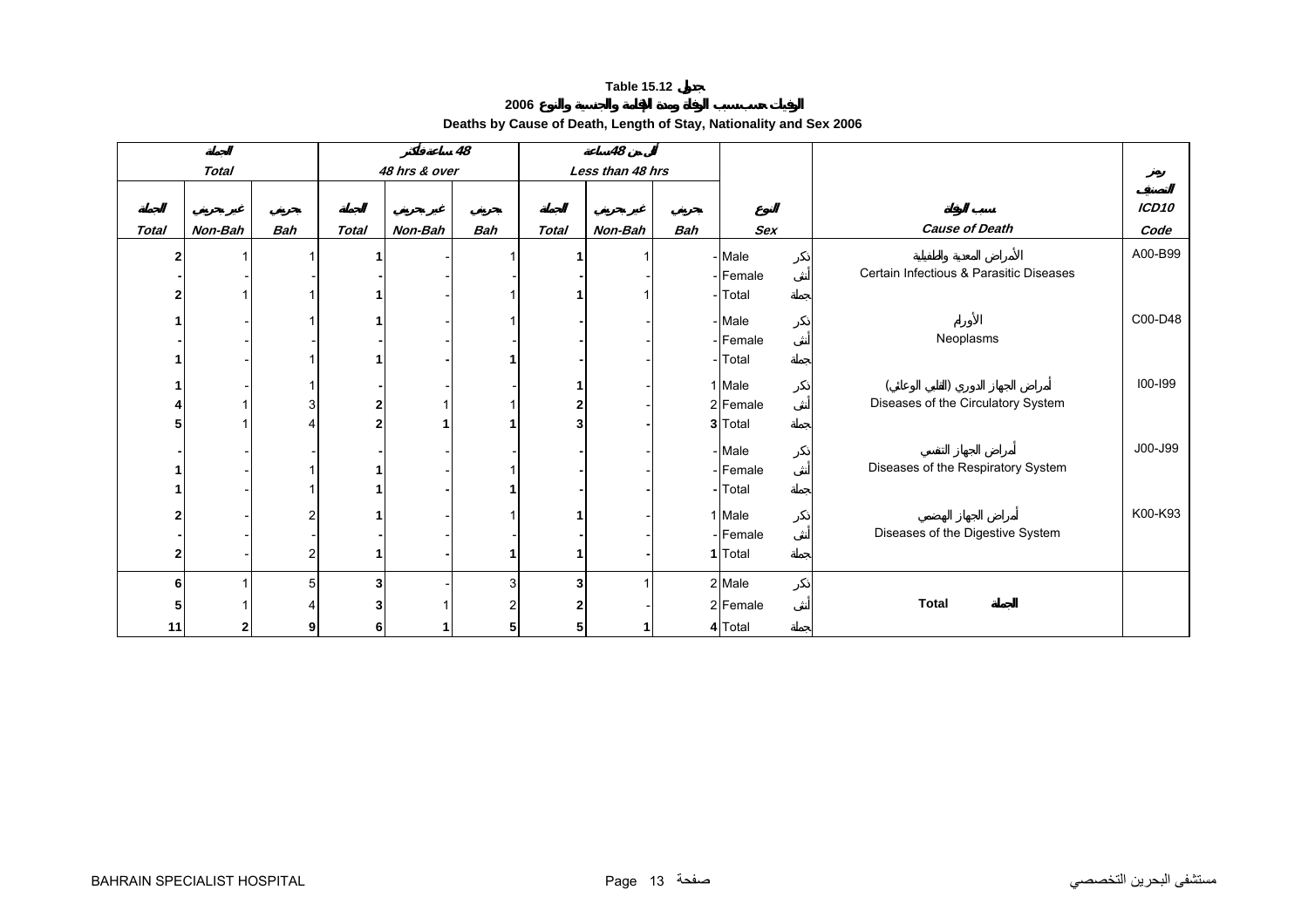**Deaths by Cause of Death, Length of Stay, Nationality and Sex 2006 2006**

<span id="page-11-0"></span>

|       |              |            |              |               | 48  |              | 48               |            |          |                                         |                   |
|-------|--------------|------------|--------------|---------------|-----|--------------|------------------|------------|----------|-----------------------------------------|-------------------|
|       | <b>Total</b> |            |              | 48 hrs & over |     |              | Less than 48 hrs |            |          |                                         |                   |
|       |              |            |              |               |     |              |                  |            |          |                                         |                   |
|       |              |            |              |               |     |              |                  |            |          |                                         | ICD <sub>10</sub> |
| Total | Non-Bah      | <b>Bah</b> | <b>Total</b> | Non-Bah       | Bah | <b>Total</b> | Non-Bah          | <b>Bah</b> | Sex      | <b>Cause of Death</b>                   | Code              |
| 2     |              |            |              |               |     |              |                  |            | - Male   |                                         | A00-B99           |
|       |              |            |              |               |     |              |                  |            | - Female | Certain Infectious & Parasitic Diseases |                   |
|       |              |            |              |               |     |              |                  |            | - Total  |                                         |                   |
|       |              |            |              |               |     |              |                  |            | - Male   |                                         | C00-D48           |
|       |              |            |              |               |     |              |                  |            | - Female | Neoplasms                               |                   |
|       |              |            |              |               |     |              |                  |            | -Total   |                                         |                   |
|       |              |            |              |               |     |              |                  |            |          |                                         |                   |
|       |              |            |              |               |     |              |                  |            | 1 Male   |                                         | 100-199           |
|       |              |            |              |               |     |              |                  |            | 2 Female | Diseases of the Circulatory System      |                   |
|       |              |            |              |               |     |              |                  |            | 3 Total  |                                         |                   |
|       |              |            |              |               |     |              |                  |            | - Male   |                                         | J00-J99           |
|       |              |            |              |               |     |              |                  |            | - Female | Diseases of the Respiratory System      |                   |
|       |              |            |              |               |     |              |                  |            | - Total  |                                         |                   |
|       |              |            |              |               |     |              |                  |            |          |                                         |                   |
|       |              |            |              |               |     |              |                  |            | 1 Male   |                                         | K00-K93           |
|       |              |            |              |               |     |              |                  |            | - Female | Diseases of the Digestive System        |                   |
| 2     |              |            |              |               |     |              |                  |            | 1 Total  |                                         |                   |
| 6     |              |            | 3            |               | 3   | 3            |                  |            | 2 Male   |                                         |                   |
| 5     |              |            |              |               |     |              |                  |            | 2 Female | <b>Total</b>                            |                   |
| 11    | າ            |            |              |               |     |              |                  |            | 4 Total  |                                         |                   |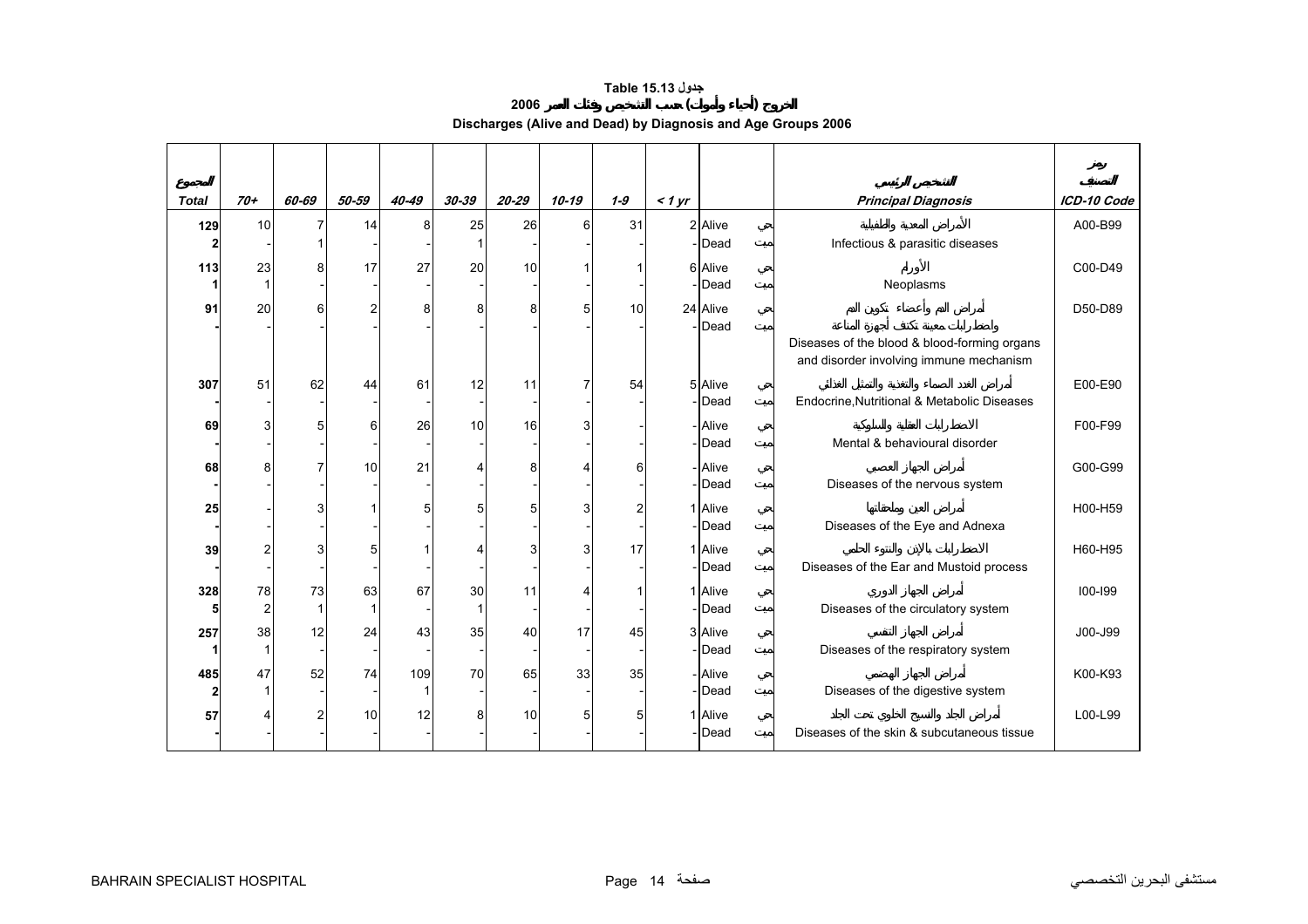# **جدول 15.13 Table**

# **2006 ( )**

**Discharges (Alive and Dead) by Diagnosis and Age Groups 2006** 

<span id="page-12-0"></span>

| <b>Total</b> | $70+$          | 60-69        | 50-59 | 40-49 | 30-39 | $20 - 29$ | $10 - 19$ | $1 - 9$ | $<$ 1 yr |                   | <b>Principal Diagnosis</b>                                                              | ICD-10 Code |
|--------------|----------------|--------------|-------|-------|-------|-----------|-----------|---------|----------|-------------------|-----------------------------------------------------------------------------------------|-------------|
| 129          | 10             | 7            | 14    | 8     | 25    | 26        | 6         | 31      |          | 2 Alive           |                                                                                         | A00-B99     |
|              |                |              |       |       |       |           |           |         |          | -Dead             | Infectious & parasitic diseases                                                         |             |
| 113          | 23             | 8            | 17    | 27    | 20    | 10        |           |         |          | 6 Alive           |                                                                                         | C00-D49     |
|              |                |              |       |       |       |           |           |         |          | -Dead             | Neoplasms                                                                               |             |
| 91           | 20             | 6            | 2     | 8     | 8     | 8         | 5         | 10      |          | 24 Alive          |                                                                                         | D50-D89     |
|              |                |              |       |       |       |           |           |         |          | -lDead            | Diseases of the blood & blood-forming organs<br>and disorder involving immune mechanism |             |
| 307          | 51             | 62           | 44    | 61    | 12    | 11        | 7         | 54      |          | 5 Alive           |                                                                                         | E00-E90     |
|              |                |              |       |       |       |           |           |         |          | -Dead             | Endocrine, Nutritional & Metabolic Diseases                                             |             |
| 69           |                | 5            | 6     | 26    | 10    | 16        |           |         |          | - Alive           |                                                                                         | F00-F99     |
|              |                |              |       |       |       |           |           |         |          | - Dead            | Mental & behavioural disorder                                                           |             |
| 68           |                |              | 10    | 21    |       | 8         |           | 6       |          | - Alive<br>- Dead | Diseases of the nervous system                                                          | G00-G99     |
|              |                |              |       |       |       |           |           |         |          |                   |                                                                                         |             |
| 25           |                | 3            |       | 5     |       |           |           | 2       |          | 1 Alive<br>- Dead | Diseases of the Eye and Adnexa                                                          | H00-H59     |
| 39           |                | 3            |       |       |       |           |           | 17      |          | 1 Alive           |                                                                                         | H60-H95     |
|              |                |              |       |       |       |           |           |         |          | -Dead             | Diseases of the Ear and Mustoid process                                                 |             |
| 328          | 78             | 73           | 63    | 67    | 30    | 11        |           |         |          | 1 Alive           |                                                                                         | $100 - 199$ |
| 5            | $\overline{c}$ | $\mathbf{1}$ | 1     |       |       |           |           |         |          | - Dead            | Diseases of the circulatory system                                                      |             |
| 257          | 38             | 12           | 24    | 43    | 35    | 40        | 17        | 45      |          | 3 Alive           |                                                                                         | J00-J99     |
|              |                |              |       |       |       |           |           |         |          | - Dead            | Diseases of the respiratory system                                                      |             |
| 485          | 47             | 52           | 74    | 109   | 70    | 65        | 33        | 35      |          | - Alive           |                                                                                         | K00-K93     |
| $\mathbf{2}$ |                |              |       |       |       |           |           |         |          | -Dead             | Diseases of the digestive system                                                        |             |
| 57           |                | 2            | 10    | 12    | я     | 10        | 5         | 5       |          | 1 Alive           |                                                                                         | L00-L99     |
|              |                |              |       |       |       |           |           |         |          | -Dead             | Diseases of the skin & subcutaneous tissue                                              |             |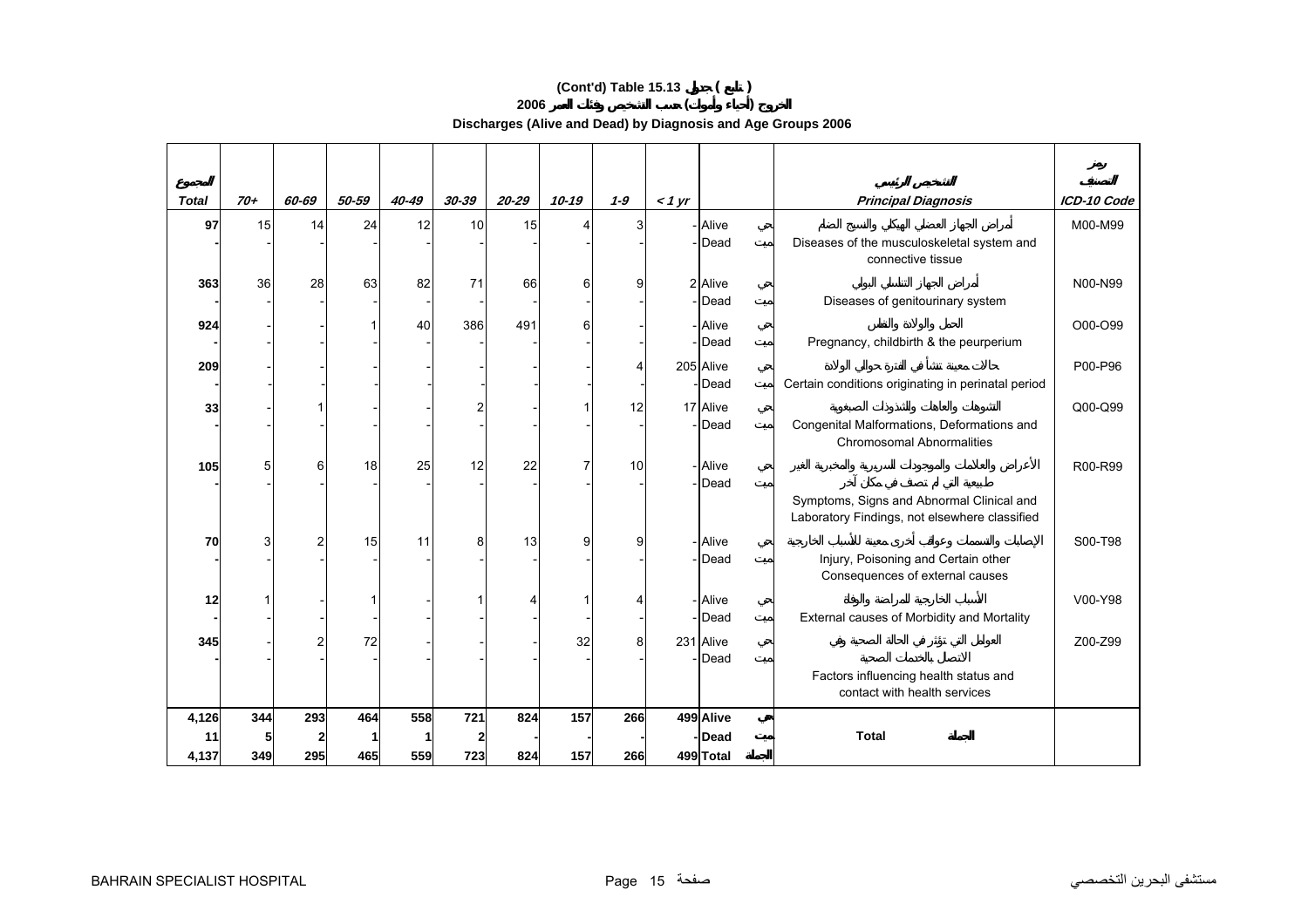# **(Cont'd) Table 15.13 ( )**

**2006 ( )** 

**Discharges (Alive and Dead) by Diagnosis and Age Groups 2006** 

| <b>Total</b> | $70+$ | 60-69          | 50-59 | $40 - 49$ | $30 - 39$ | $20 - 29$ | 10-19 | $1 - 9$        | $<$ 1 yr |                    | <b>Principal Diagnosis</b>                                                                 | ICD-10 Code |
|--------------|-------|----------------|-------|-----------|-----------|-----------|-------|----------------|----------|--------------------|--------------------------------------------------------------------------------------------|-------------|
| 97           | 15    | 14             | 24    | 12        | 10        | 15        |       | 3              |          | <b>Alive</b>       |                                                                                            | M00-M99     |
|              |       |                |       |           |           |           |       |                |          | -Dead              | Diseases of the musculoskeletal system and<br>connective tissue                            |             |
| 363          | 36    | 28             | 63    | 82        | 71        | 66        | 6     | $\overline{9}$ |          | 2 Alive            |                                                                                            | N00-N99     |
|              |       |                |       |           |           |           |       |                |          | - <b>I</b> Dead    | Diseases of genitourinary system                                                           |             |
| 924          |       |                |       | 40        | 386       | 491       | 6     |                |          | - Alive<br>-Dead   |                                                                                            | O00-O99     |
|              |       |                |       |           |           |           |       |                |          |                    | Pregnancy, childbirth & the peurperium                                                     |             |
| 209          |       |                |       |           |           |           |       | 4              |          | 205 Alive<br>-Dead | Certain conditions originating in perinatal period                                         | P00-P96     |
|              |       |                |       |           |           |           |       |                |          |                    |                                                                                            |             |
| 33           |       |                |       |           |           |           |       | 12             |          | 17 Alive<br>Dead   | Congenital Malformations, Deformations and                                                 | Q00-Q99     |
|              |       |                |       |           |           |           |       |                |          |                    | <b>Chromosomal Abnormalities</b>                                                           |             |
| 105          | 5     | 6              | 18    | 25        | 12        | 22        | 7     | 10             |          | - Alive            |                                                                                            | R00-R99     |
|              |       |                |       |           |           |           |       |                |          | -Dead              |                                                                                            |             |
|              |       |                |       |           |           |           |       |                |          |                    | Symptoms, Signs and Abnormal Clinical and<br>Laboratory Findings, not elsewhere classified |             |
|              |       |                |       |           |           |           |       |                |          |                    |                                                                                            |             |
| 70           | 3     | $\overline{2}$ | 15    | 11        | 8         | 13        | 9     | $\overline{9}$ |          | Alive<br>Dead      | Injury, Poisoning and Certain other                                                        | S00-T98     |
|              |       |                |       |           |           |           |       |                |          |                    | Consequences of external causes                                                            |             |
| 12           |       |                |       |           |           |           |       | 4              |          | - Alive            |                                                                                            | V00-Y98     |
|              |       |                |       |           |           |           |       |                |          | -Dead              | External causes of Morbidity and Mortality                                                 |             |
| 345          |       |                | 72    |           |           |           | 32    | 8              |          | 231 Alive          |                                                                                            | Z00-Z99     |
|              |       |                |       |           |           |           |       |                |          | Dead               |                                                                                            |             |
|              |       |                |       |           |           |           |       |                |          |                    | Factors influencing health status and<br>contact with health services                      |             |
| 4,126        | 344   | 293            | 464   | 558       | 721       | 824       | 157   | 266            |          | 499 Alive          |                                                                                            |             |
| 11           |       |                |       |           |           |           |       |                |          | -Dead              | <b>Total</b>                                                                               |             |
| 4,137        | 349   | 295            | 465   | 559       | 723       | 824       | 157   | 266            |          | 499 Total          |                                                                                            |             |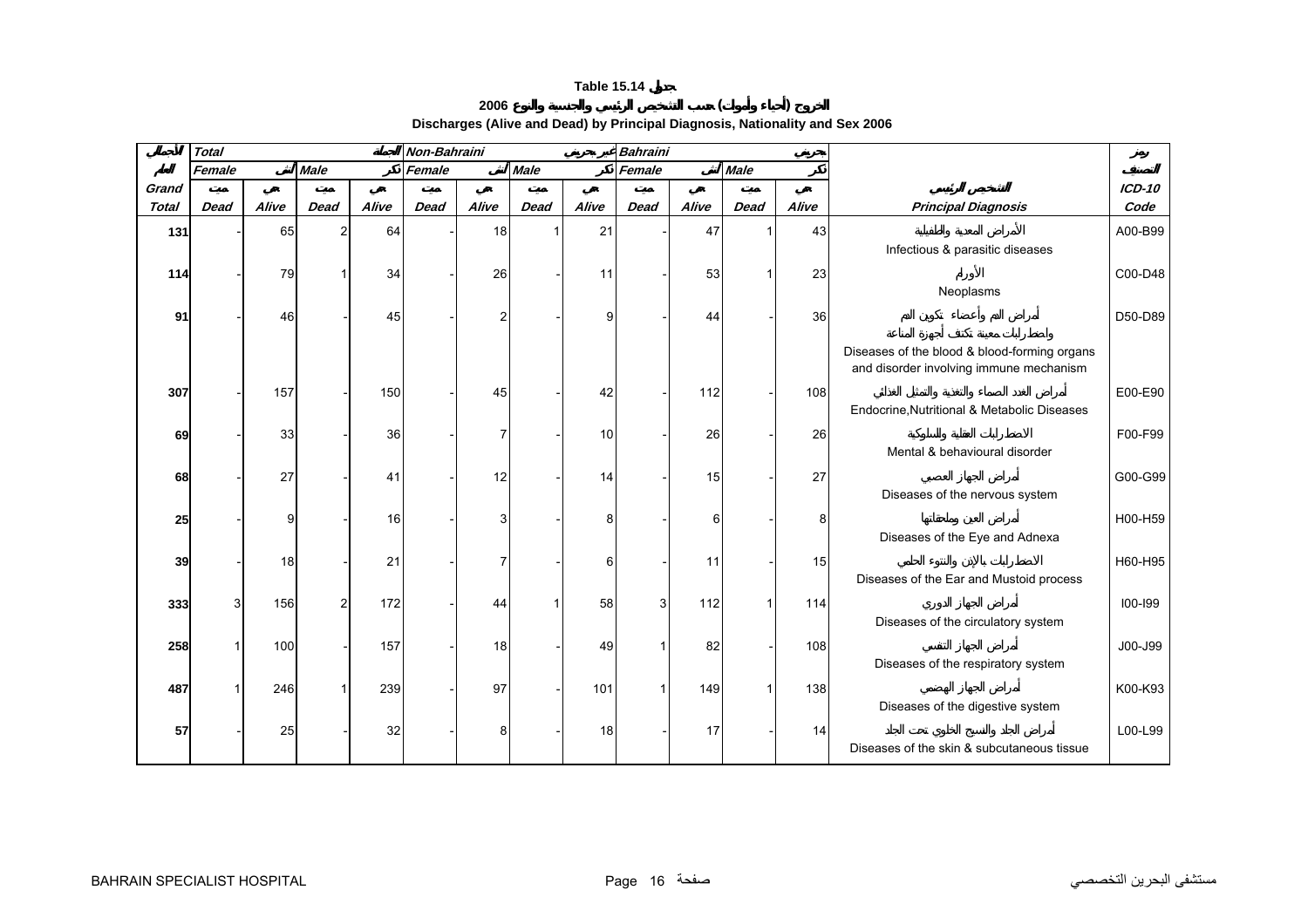# **2006 ( )**

**Discharges (Alive and Dead) by Principal Diagnosis, Nationality and Sex 2006** 

<span id="page-14-0"></span>

|              | <b>Total</b> |       |             |       | Non-Bahraini |       |             |       | <b>Bahraini</b> |       |             |       |                                                                                         |          |
|--------------|--------------|-------|-------------|-------|--------------|-------|-------------|-------|-----------------|-------|-------------|-------|-----------------------------------------------------------------------------------------|----------|
|              | Female       |       | <b>Male</b> |       | Female       |       | <b>Male</b> |       | Female          |       | <b>Male</b> |       |                                                                                         |          |
| Grand        |              |       |             |       |              |       |             |       |                 |       |             |       |                                                                                         | $ICD-10$ |
| <b>Total</b> | <b>Dead</b>  | Alive | <b>Dead</b> | Alive | <b>Dead</b>  | Alive | <b>Dead</b> | Alive | <b>Dead</b>     | Alive | <b>Dead</b> | Alive | <b>Principal Diagnosis</b>                                                              | Code     |
| 131          |              | 65    | 2           | 64    |              | 18    |             | 21    |                 | 47    |             | 43    |                                                                                         | A00-B99  |
|              |              |       |             |       |              |       |             |       |                 |       |             |       | Infectious & parasitic diseases                                                         |          |
| 114          |              | 79    |             | 34    |              | 26    |             | 11    |                 | 53    |             | 23    |                                                                                         | C00-D48  |
|              |              |       |             |       |              |       |             |       |                 |       |             |       | Neoplasms                                                                               |          |
| 91           |              | 46    |             | 45    |              | 2     |             | 9     |                 | 44    |             | 36    |                                                                                         | D50-D89  |
|              |              |       |             |       |              |       |             |       |                 |       |             |       | Diseases of the blood & blood-forming organs<br>and disorder involving immune mechanism |          |
| 307          |              | 157   |             | 150   |              | 45    |             | 42    |                 | 112   |             | 108   |                                                                                         | E00-E90  |
|              |              |       |             |       |              |       |             |       |                 |       |             |       | Endocrine, Nutritional & Metabolic Diseases                                             |          |
| 69           |              | 33    |             | 36    |              | 7     |             | 10    |                 | 26    |             | 26    |                                                                                         | F00-F99  |
|              |              |       |             |       |              |       |             |       |                 |       |             |       | Mental & behavioural disorder                                                           |          |
| 68           |              | 27    |             | 41    |              | 12    |             | 14    |                 | 15    |             | 27    |                                                                                         | G00-G99  |
|              |              |       |             |       |              |       |             |       |                 |       |             |       | Diseases of the nervous system                                                          |          |
| 25           |              | g     |             | 16    |              | 3     |             | 8     |                 | 61    |             | 8     |                                                                                         | H00-H59  |
|              |              |       |             |       |              |       |             |       |                 |       |             |       | Diseases of the Eye and Adnexa                                                          |          |
| 39           |              | 18    |             | 21    |              | 7     |             | 6     |                 | 11    |             | 15    |                                                                                         | H60-H95  |
|              |              |       |             |       |              |       |             |       |                 |       |             |       | Diseases of the Ear and Mustoid process                                                 |          |
| 333          |              | 156   | 2           | 172   |              | 44    |             | 58    | 3               | 112   |             | 114   | Diseases of the circulatory system                                                      | 100-199  |
|              |              |       |             |       |              |       |             |       |                 |       |             |       |                                                                                         |          |
| 258          |              | 100   |             | 157   |              | 18    |             | 49    |                 | 82    |             | 108   | Diseases of the respiratory system                                                      | J00-J99  |
|              |              |       |             |       |              |       |             |       |                 |       |             |       |                                                                                         |          |
| 487          |              | 246   |             | 239   |              | 97    |             | 101   |                 | 149   |             | 138   | Diseases of the digestive system                                                        | K00-K93  |
| 57           |              | 25    |             | 32    |              | 8     |             | 18    |                 | 17    |             | 14    |                                                                                         | L00-L99  |
|              |              |       |             |       |              |       |             |       |                 |       |             |       | Diseases of the skin & subcutaneous tissue                                              |          |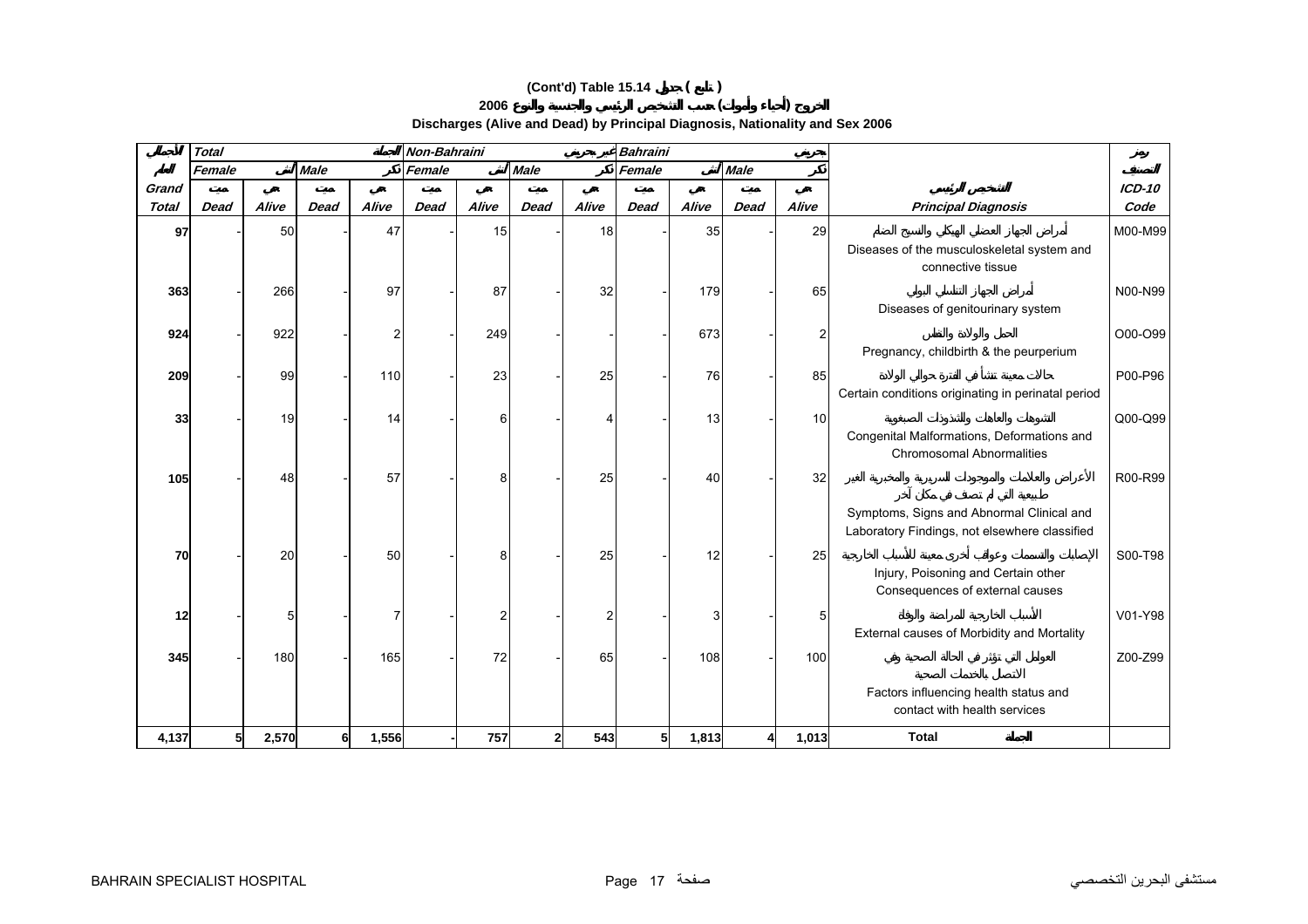# **(Cont'd) Table 15.14 ( )**

**2006 ( )** 

**Discharges (Alive and Dead) by Principal Diagnosis, Nationality and Sex 2006** 

|                       | <b>Total</b> |       |             |       | Non-Bahraini |       |              |       | <b>Bahraini</b> |       |             |          |                                                                                            |                  |
|-----------------------|--------------|-------|-------------|-------|--------------|-------|--------------|-------|-----------------|-------|-------------|----------|--------------------------------------------------------------------------------------------|------------------|
|                       | Female       |       | <b>Male</b> |       | Female       |       | <b>Male</b>  |       | Female          |       | <b>Male</b> |          |                                                                                            |                  |
| Grand<br><b>Total</b> | <b>Dead</b>  | Alive | <b>Dead</b> | Alive | <b>Dead</b>  | Alive | <b>Dead</b>  | Alive | <b>Dead</b>     | Alive | <b>Dead</b> | Alive    | <b>Principal Diagnosis</b>                                                                 | $ICD-10$<br>Code |
| 97                    |              | 50    |             | 47    |              | 15    |              | 18    |                 | 35    |             | 29       | Diseases of the musculoskeletal system and<br>connective tissue                            | M00-M99          |
| 363                   |              | 266   |             | 97    |              | 87    |              | 32    |                 | 179   |             | 65       | Diseases of genitourinary system                                                           | N00-N99          |
| 924                   |              | 922   |             | 2     |              | 249   |              |       |                 | 673   |             | 2        | Pregnancy, childbirth & the peurperium                                                     | O00-O99          |
| 209                   |              | 99    |             | 110   |              | 23    |              | 25    |                 | 76    |             | 85       | Certain conditions originating in perinatal period                                         | P00-P96          |
| 33                    |              | 19    |             | 14    |              | 6     |              |       |                 | 13    |             | 10       | Congenital Malformations, Deformations and<br><b>Chromosomal Abnormalities</b>             | Q00-Q99          |
| 105                   |              | 48    |             | 57    |              | 8     |              | 25    |                 | 40    |             | 32       | Symptoms, Signs and Abnormal Clinical and<br>Laboratory Findings, not elsewhere classified | R00-R99          |
| 70                    |              | 20    |             | 50    |              | 8     |              | 25    |                 | 12    |             | 25       | Injury, Poisoning and Certain other<br>Consequences of external causes                     | S00-T98          |
| 12                    |              | 5     |             | 7     |              | 2     |              | 2     |                 | 3     |             | $5 \mid$ | External causes of Morbidity and Mortality                                                 | V01-Y98          |
| 345                   |              | 180   |             | 165   |              | 72    |              | 65    |                 | 108   |             | 100      | Factors influencing health status and                                                      | Z00-Z99          |
|                       |              |       |             |       |              |       |              |       |                 |       |             |          | contact with health services                                                               |                  |
| 4,137                 | 51           | 2,570 | 6           | 1,556 |              | 757   | $\mathbf{2}$ | 543   | 5 <sub>l</sub>  | 1,813 |             | 1,013    | <b>Total</b>                                                                               |                  |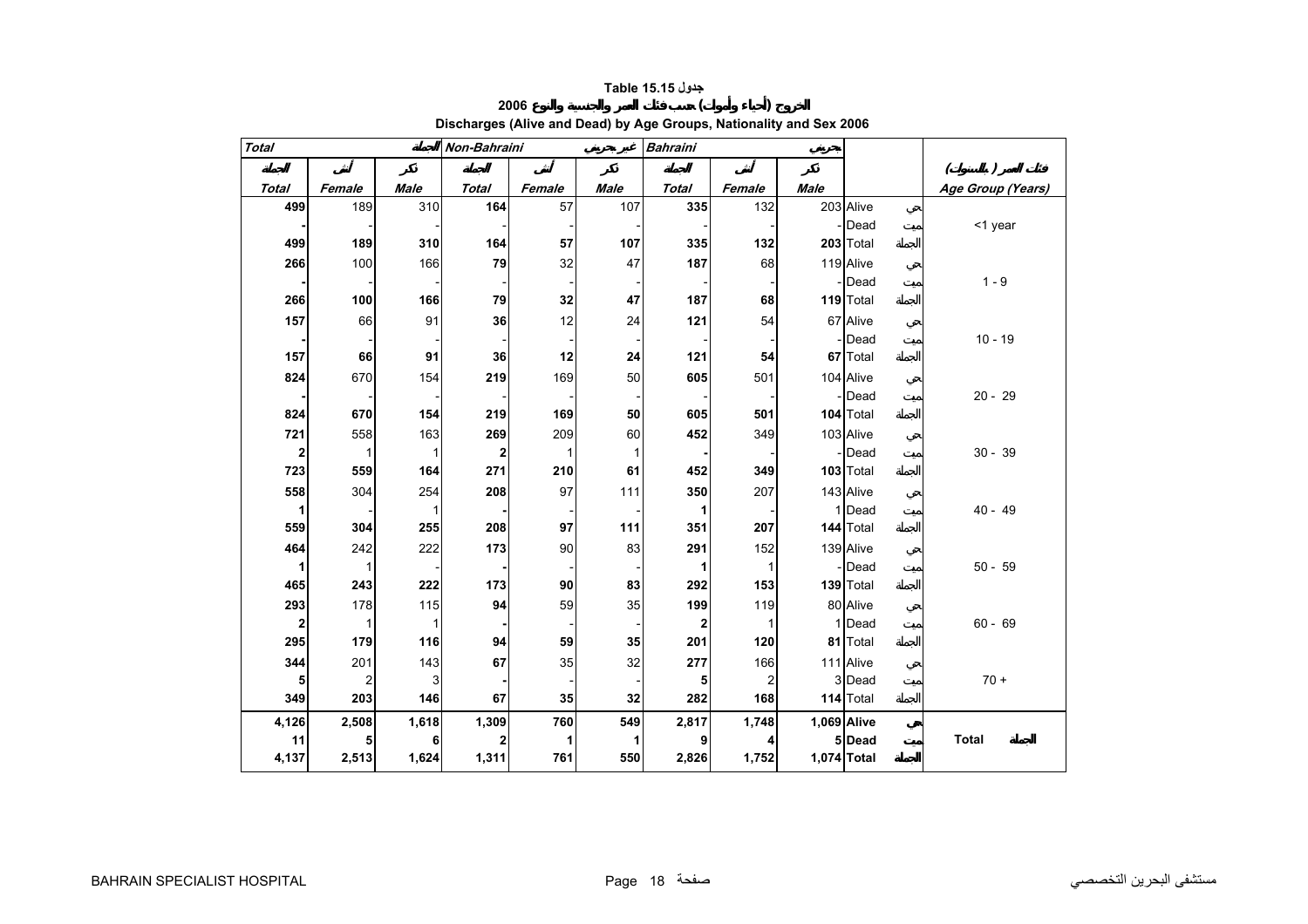# **جدول 15.15 Table**

# **Discharges (Alive and Dead) by Age Groups, Nationality and Sex 2006**

**2006 ( )** 

<span id="page-16-0"></span>

| <b>Total</b>            |                |              | Non-Bahraini   |        |             | <b>Bahraini</b> |                |             |             |                                |
|-------------------------|----------------|--------------|----------------|--------|-------------|-----------------|----------------|-------------|-------------|--------------------------------|
|                         |                |              |                |        |             |                 |                |             |             | $\left( \right)$<br>$\sqrt{2}$ |
| <b>Total</b>            | Female         | <b>Male</b>  | <b>Total</b>   | Female | <b>Male</b> | <b>Total</b>    | Female         | <b>Male</b> |             | Age Group (Years)              |
| 499                     | 189            | 310          | 164            | 57     | 107         | 335             | 132            |             | 203 Alive   |                                |
|                         |                |              |                |        |             |                 |                |             | - Dead      | <1 year                        |
| 499                     | 189            | 310          | 164            | 57     | 107         | 335             | 132            |             | 203 Total   |                                |
| 266                     | 100            | 166          | 79             | 32     | 47          | 187             | 68             |             | 119 Alive   |                                |
|                         |                |              |                |        |             |                 |                |             | - Dead      | $1 - 9$                        |
| 266                     | 100            | 166          | 79             | 32     | 47          | 187             | 68             |             | 119 Total   |                                |
| 157                     | 66             | 91           | 36             | 12     | 24          | 121             | 54             |             | 67 Alive    |                                |
|                         |                |              |                |        |             |                 |                |             | -Dead       | $10 - 19$                      |
| 157                     | 66             | 91           | 36             | 12     | 24          | 121             | 54             |             | 67 Total    |                                |
| 824                     | 670            | 154          | 219            | 169    | 50          | 605             | 501            |             | 104 Alive   |                                |
|                         |                |              |                |        |             |                 |                |             | -IDead      | $20 - 29$                      |
| 824                     | 670            | 154          | 219            | 169    | 50          | 605             | 501            |             | 104 Total   |                                |
| 721                     | 558            | 163          | 269            | 209    | 60          | 452             | 349            |             | 103 Alive   |                                |
| $\mathbf{2}$            |                | $\mathbf{1}$ | $\overline{2}$ | 1      | 11          |                 |                |             | -Dead       | $30 - 39$                      |
| 723                     | 559            | 164          | 271            | 210    | 61          | 452             | 349            |             | $103$ Total |                                |
| 558                     | 304            | 254          | 208            | 97     | 111         | 350             | 207            |             | 143 Alive   |                                |
| $\mathbf{1}$            |                | 1            |                |        |             | 1               |                |             | 1 Dead      | $40 - 49$                      |
| 559                     | 304            | 255          | 208            | 97     | 111         | 351             | 207            |             | 144 Total   |                                |
| 464                     | 242            | 222          | 173            | 90     | 83          | 291             | 152            |             | 139 Alive   |                                |
| $\mathbf 1$             | $\mathbf{1}$   |              |                |        |             | 1               | $\mathbf{1}$   |             | - Dead      | $50 - 59$                      |
| 465                     | 243            | 222          | 173            | 90     | 83          | 292             | 153            |             | 139 Total   |                                |
| 293                     | 178            | 115          | 94             | 59     | 35          | 199             | 119            |             | 80 Alive    |                                |
| $\overline{\mathbf{2}}$ | $\mathbf 1$    |              |                |        |             | 2               | $\mathbf{1}$   |             | 1 Dead      | $60 - 69$                      |
| 295                     | 179            | 116          | 94             | 59     | 35          | 201             | 120            |             | 81 Total    |                                |
| 344                     | 201            | 143          | 67             | 35     | 32          | 277             | 166            |             | 111 Alive   |                                |
| 5                       | $\overline{2}$ | 3            |                |        |             | 5               | $\overline{c}$ |             | 3 Dead      | $70 +$                         |
| 349                     | 203            | 146          | 67             | 35     | 32          | 282             | 168            |             | 114 Total   |                                |
| 4,126                   | 2,508          | 1,618        | 1,309          | 760    | 549         | 2,817           | 1,748          | 1,069 Alive |             |                                |
| 11                      | 5              | 6            |                | 1      | 1           | 9               | 4              |             | 5 Dead      | <b>Total</b>                   |
| 4,137                   | 2,513          | 1,624        | 1,311          | 761    | 550         | 2,826           | 1,752          | 1,074 Total |             |                                |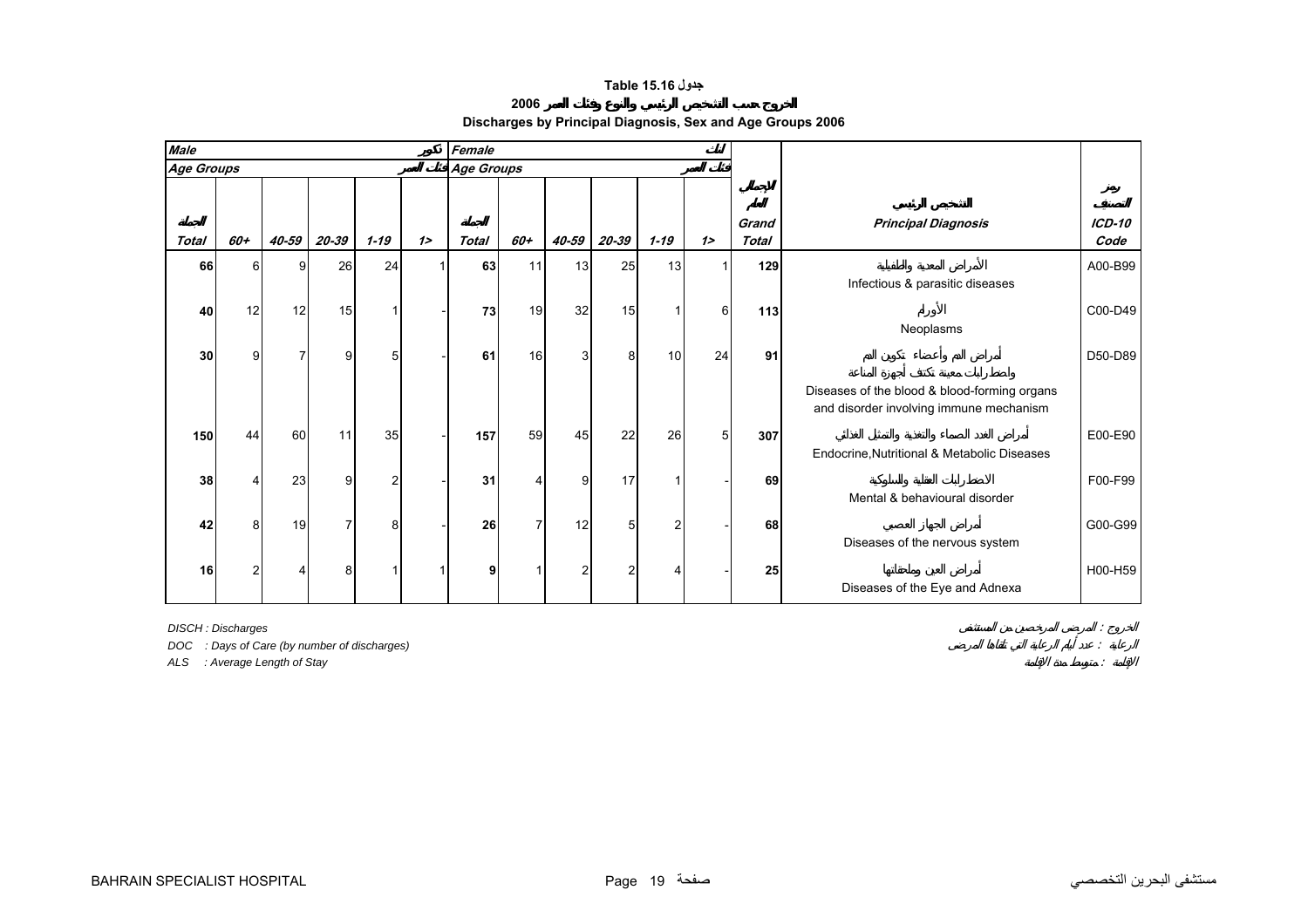# **جدول 15.16 Table**

#### **2006**

**Discharges by Principal Diagnosis, Sex and Age Groups 2006**

<span id="page-17-0"></span>

| <b>Male</b>  |     |       |                |                |   | Female            |     |       |       |                 |                |                       |                                                                                         |                       |
|--------------|-----|-------|----------------|----------------|---|-------------------|-----|-------|-------|-----------------|----------------|-----------------------|-----------------------------------------------------------------------------------------|-----------------------|
| Age Groups   |     |       |                |                |   | <b>Age Groups</b> |     |       |       |                 |                |                       |                                                                                         |                       |
|              |     |       |                |                |   |                   |     |       |       |                 |                |                       |                                                                                         |                       |
| <b>Total</b> | 60+ | 40-59 | 20-39          | $1 - 19$       | 1 | <b>Total</b>      | 60+ | 40-59 | 20-39 | $1 - 19$        | 1              | Grand<br><b>Total</b> | <b>Principal Diagnosis</b>                                                              | <b>ICD-10</b><br>Code |
| 66           | ี่ค | a     | 26             | 24             |   | 63                | 11  | 13    | 25    | 13 <sup>l</sup> |                | 129                   |                                                                                         | A00-B99               |
|              |     |       |                |                |   |                   |     |       |       |                 |                |                       | Infectious & parasitic diseases                                                         |                       |
| 40           | 12  | 12    | 15             |                |   | 73                | 19  | 32    | 15    |                 | 6              | $113$                 | Neoplasms                                                                               | C00-D49               |
|              |     |       |                |                |   |                   |     |       |       |                 |                |                       |                                                                                         |                       |
| 30           | 9   |       | $\overline{9}$ | 5              |   | 61                | 16  | 3     | 8     | 10 <sup>1</sup> | 24             | 91                    |                                                                                         | $D50-D89$             |
|              |     |       |                |                |   |                   |     |       |       |                 |                |                       | Diseases of the blood & blood-forming organs<br>and disorder involving immune mechanism |                       |
| 150          | 44  | 60    | 11             | 35             |   | 157               | 59  | 45    | 22    | 26              | 5 <sup>1</sup> | 307                   |                                                                                         | E00-E90               |
|              |     |       |                |                |   |                   |     |       |       |                 |                |                       | Endocrine, Nutritional & Metabolic Diseases                                             |                       |
| 38           |     | 23    | 9              | $\mathfrak{p}$ |   | 31                |     | 9     | 17    |                 |                | 69                    | Mental & behavioural disorder                                                           | F00-F99               |
| 42           | 8   | 19    |                | 8              |   | 26                |     | 12    | 5     |                 |                | 68                    |                                                                                         | G00-G99               |
|              |     |       |                |                |   |                   |     |       |       |                 |                |                       | Diseases of the nervous system                                                          |                       |
| 16           |     |       | 8              |                |   |                   |     | 2     |       |                 |                | 25                    |                                                                                         | H00-H59               |
|              |     |       |                |                |   |                   |     |       |       |                 |                |                       | Diseases of the Eye and Adnexa                                                          |                       |

*DISCH : Discharges* :

*DOC : Days of Care (by number of discharges)* :

*ALS : Average Length of Stay* :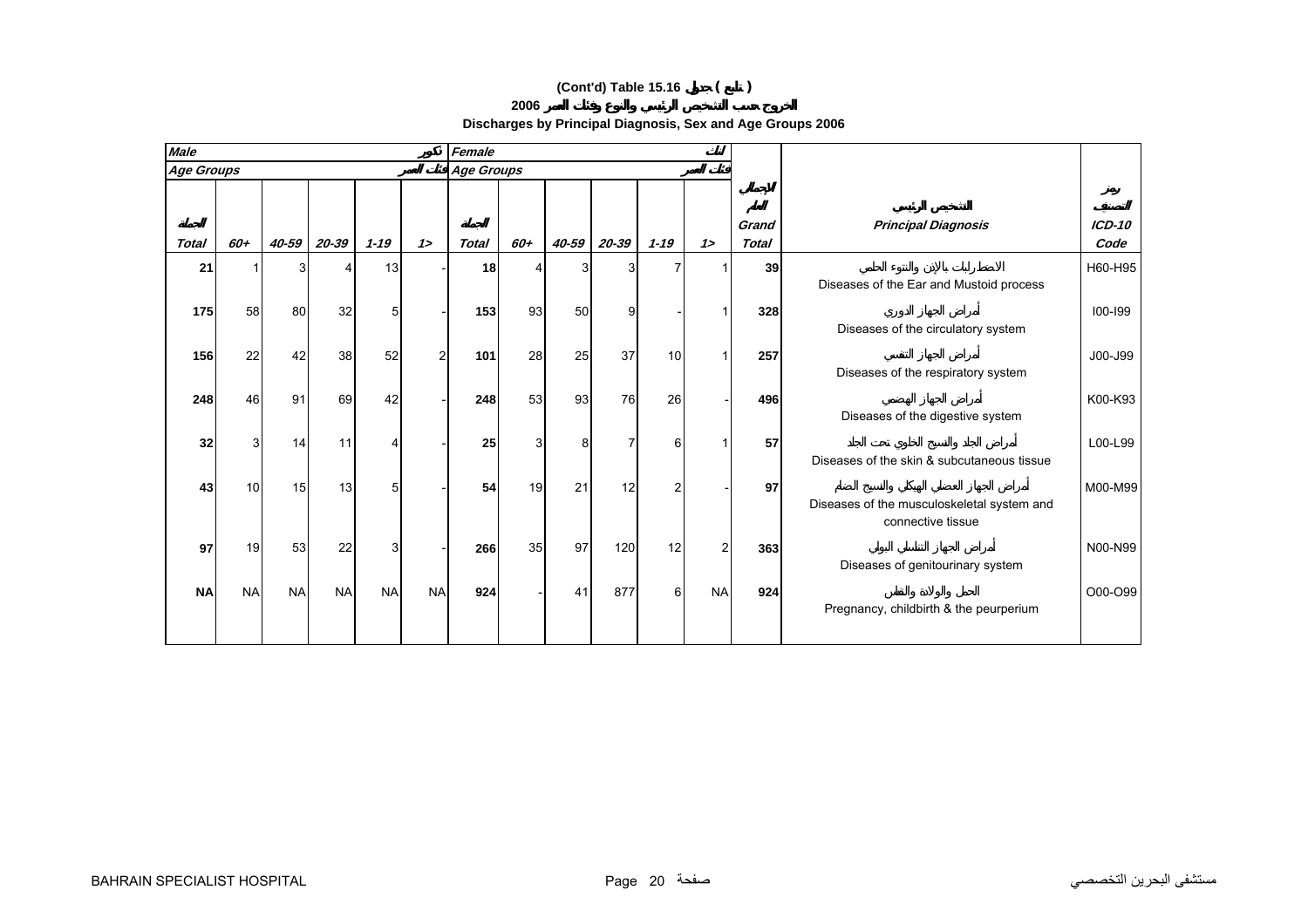# **(Cont'd) Table 15.16 ( )**

**Discharges by Principal Diagnosis, Sex and Age Groups 2006**

| <b>Male</b>       |                 |              |           |                |           | Female          |     |       |              |                 |               |                       |                                                                 |                  |
|-------------------|-----------------|--------------|-----------|----------------|-----------|-----------------|-----|-------|--------------|-----------------|---------------|-----------------------|-----------------------------------------------------------------|------------------|
| <b>Age Groups</b> |                 |              |           |                |           | Age Groups      |     |       |              |                 |               |                       |                                                                 |                  |
| <b>Total</b>      | 60+             | 40-59        | 20-39     | $1 - 19$       | 12        | <b>Total</b>    | 60+ | 40-59 | $20 - 39$    | $1 - 19$        | 12            | Grand<br><b>Total</b> | <b>Principal Diagnosis</b>                                      | $ICD-10$<br>Code |
|                   |                 |              |           |                |           |                 |     |       |              |                 |               |                       |                                                                 |                  |
| 21                |                 | $\mathbf{3}$ | Δ         | 13             |           | 18 <sup>1</sup> | 4   | 3     | $\mathbf{3}$ |                 |               | 39                    | Diseases of the Ear and Mustoid process                         | H60-H95          |
| 175               | 58              | 80           | 32        | 5 <sub>l</sub> |           | 153             | 93  | 50    | 9            |                 |               | 328                   | Diseases of the circulatory system                              | $100 - 199$      |
| 156               | 22              | 42           | 38        | 52             |           | 101             | 28  | 25    | 37           | 10 <sup>1</sup> |               | 257                   | Diseases of the respiratory system                              | J00-J99          |
| 248               | 46              | 91           | 69        | 42             |           | 248             | 53  | 93    | 76           | 26              |               | 496                   | Diseases of the digestive system                                | K00-K93          |
| 32                | 3               | 14           | 11        | Δ              |           | 25              | 3   | 8     | 7            | 6               |               | 57                    |                                                                 | L00-L99          |
|                   |                 |              |           |                |           |                 |     |       |              |                 |               |                       | Diseases of the skin & subcutaneous tissue                      |                  |
| 43                | 10 <sup>1</sup> | 15           | 13        | 51             |           | 54              | 19  | 21    | 12           |                 |               | 97                    | Diseases of the musculoskeletal system and<br>connective tissue | M00-M99          |
| 97                | 19              | 53           | 22        | 3              |           | 266             | 35  | 97    | 120          | 12              | $\mathcal{P}$ | 363                   | Diseases of genitourinary system                                | N00-N99          |
| <b>NA</b>         | <b>NA</b>       | <b>NA</b>    | <b>NA</b> | <b>NA</b>      | <b>NA</b> | 924             |     | 41    | 877          | 6               | <b>NA</b>     | 924                   | Pregnancy, childbirth & the peurperium                          | O00-O99          |